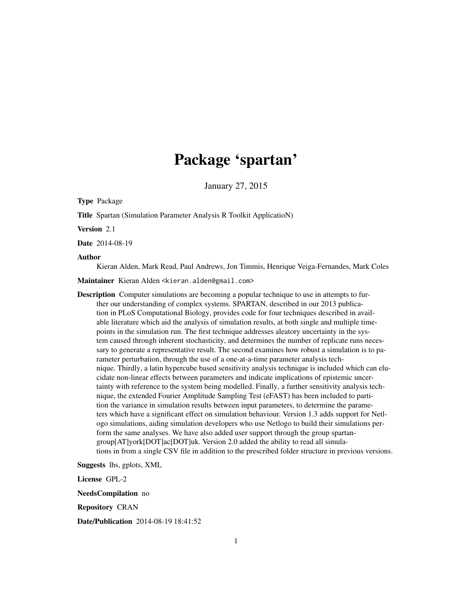## Package 'spartan'

January 27, 2015

Type Package

Title Spartan (Simulation Parameter Analysis R Toolkit ApplicatioN)

Version 2.1

Date 2014-08-19

#### Author

Kieran Alden, Mark Read, Paul Andrews, Jon Timmis, Henrique Veiga-Fernandes, Mark Coles

Maintainer Kieran Alden <kieran.alden@gmail.com>

Description Computer simulations are becoming a popular technique to use in attempts to further our understanding of complex systems. SPARTAN, described in our 2013 publication in PLoS Computational Biology, provides code for four techniques described in available literature which aid the analysis of simulation results, at both single and multiple timepoints in the simulation run. The first technique addresses aleatory uncertainty in the system caused through inherent stochasticity, and determines the number of replicate runs necessary to generate a representative result. The second examines how robust a simulation is to parameter perturbation, through the use of a one-at-a-time parameter analysis technique. Thirdly, a latin hypercube based sensitivity analysis technique is included which can elucidate non-linear effects between parameters and indicate implications of epistemic uncertainty with reference to the system being modelled. Finally, a further sensitivity analysis technique, the extended Fourier Amplitude Sampling Test (eFAST) has been included to partition the variance in simulation results between input parameters, to determine the parameters which have a significant effect on simulation behaviour. Version 1.3 adds support for Netlogo simulations, aiding simulation developers who use Netlogo to build their simulations perform the same analyses. We have also added user support through the group spartangroup[AT]york[DOT]ac[DOT]uk. Version 2.0 added the ability to read all simulations in from a single CSV file in addition to the prescribed folder structure in previous versions.

Suggests lhs, gplots, XML

License GPL-2

NeedsCompilation no

Repository CRAN

Date/Publication 2014-08-19 18:41:52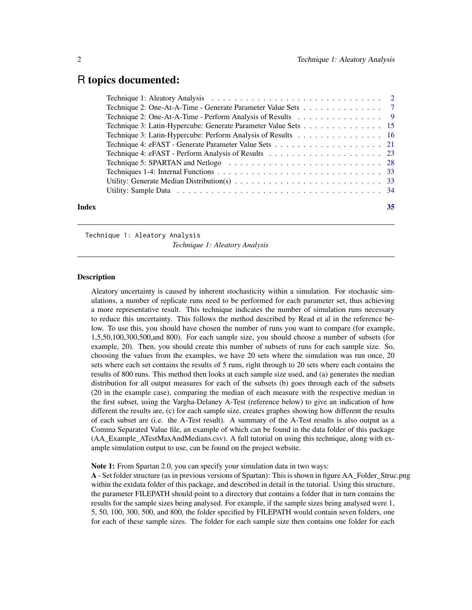## <span id="page-1-0"></span>R topics documented:

| Technique 2: One-At-A-Time - Generate Parameter Value Sets 7                                                        |  |  |  |  |  |  |     |
|---------------------------------------------------------------------------------------------------------------------|--|--|--|--|--|--|-----|
| Technique 2: One-At-A-Time - Perform Analysis of Results 9                                                          |  |  |  |  |  |  |     |
| Technique 3: Latin-Hypercube: Generate Parameter Value Sets 15                                                      |  |  |  |  |  |  |     |
| Technique 3: Latin-Hypercube: Perform Analysis of Results 16                                                        |  |  |  |  |  |  |     |
|                                                                                                                     |  |  |  |  |  |  |     |
|                                                                                                                     |  |  |  |  |  |  |     |
|                                                                                                                     |  |  |  |  |  |  |     |
|                                                                                                                     |  |  |  |  |  |  |     |
| Utility: Generate Median Distribution(s) $\ldots \ldots \ldots \ldots \ldots \ldots \ldots \ldots \ldots \ldots$ 33 |  |  |  |  |  |  |     |
|                                                                                                                     |  |  |  |  |  |  |     |
| Index                                                                                                               |  |  |  |  |  |  | 35. |

#### Technique 1: Aleatory Analysis

*Technique 1: Aleatory Analysis*

#### Description

Aleatory uncertainty is caused by inherent stochasticity within a simulation. For stochastic simulations, a number of replicate runs need to be performed for each parameter set, thus achieving a more representative result. This technique indicates the number of simulation runs necessary to reduce this uncertainty. This follows the method described by Read et al in the reference below. To use this, you should have chosen the number of runs you want to compare (for example, 1,5,50,100,300,500,and 800). For each sample size, you should choose a number of subsets (for example, 20). Then, you should create this number of subsets of runs for each sample size. So, choosing the values from the examples, we have 20 sets where the simulation was run once, 20 sets where each set contains the results of 5 runs, right through to 20 sets where each contains the results of 800 runs. This method then looks at each sample size used, and (a) generates the median distribution for all output measures for each of the subsets (b) goes through each of the subsets (20 in the example case), comparing the median of each measure with the respective median in the first subset, using the Vargha-Delaney A-Test (reference below) to give an indication of how different the results are, (c) for each sample size, creates graphes showing how different the results of each subset are (i.e. the A-Test result). A summary of the A-Test results is also output as a Comma Separated Value file, an example of which can be found in the data folder of this package (AA\_Example\_ATestMaxAndMedians.csv). A full tutorial on using this technique, along with example simulation output to use, can be found on the project website.

Note 1: From Spartan 2.0, you can specify your simulation data in two ways:

A - Set folder structure (as in previous versions of Spartan): This is shown in figure AA\_Folder\_Struc.png within the extdata folder of this package, and described in detail in the tutorial. Using this structure, the parameter FILEPATH should point to a directory that contains a folder that in turn contains the results for the sample sizes being analysed. For example, if the sample sizes being analysed were 1, 5, 50, 100, 300, 500, and 800, the folder specified by FILEPATH would contain seven folders, one for each of these sample sizes. The folder for each sample size then contains one folder for each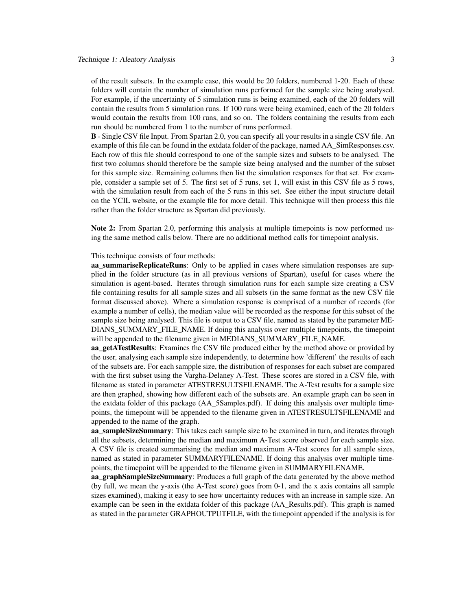of the result subsets. In the example case, this would be 20 folders, numbered 1-20. Each of these folders will contain the number of simulation runs performed for the sample size being analysed. For example, if the uncertainty of 5 simulation runs is being examined, each of the 20 folders will contain the results from 5 simulation runs. If 100 runs were being examined, each of the 20 folders would contain the results from 100 runs, and so on. The folders containing the results from each run should be numbered from 1 to the number of runs performed.

B - Single CSV file Input. From Spartan 2.0, you can specify all your results in a single CSV file. An example of this file can be found in the extdata folder of the package, named AA\_SimResponses.csv. Each row of this file should correspond to one of the sample sizes and subsets to be analysed. The first two columns should therefore be the sample size being analysed and the number of the subset for this sample size. Remaining columns then list the simulation responses for that set. For example, consider a sample set of 5. The first set of 5 runs, set 1, will exist in this CSV file as 5 rows, with the simulation result from each of the 5 runs in this set. See either the input structure detail on the YCIL website, or the example file for more detail. This technique will then process this file rather than the folder structure as Spartan did previously.

Note 2: From Spartan 2.0, performing this analysis at multiple timepoints is now performed using the same method calls below. There are no additional method calls for timepoint analysis.

#### This technique consists of four methods:

aa summariseReplicateRuns: Only to be applied in cases where simulation responses are supplied in the folder structure (as in all previous versions of Spartan), useful for cases where the simulation is agent-based. Iterates through simulation runs for each sample size creating a CSV file containing results for all sample sizes and all subsets (in the same format as the new CSV file format discussed above). Where a simulation response is comprised of a number of records (for example a number of cells), the median value will be recorded as the response for this subset of the sample size being analysed. This file is output to a CSV file, named as stated by the parameter ME-DIANS\_SUMMARY\_FILE\_NAME. If doing this analysis over multiple timepoints, the timepoint will be appended to the filename given in MEDIANS\_SUMMARY\_FILE\_NAME.

aa\_getATestResults: Examines the CSV file produced either by the method above or provided by the user, analysing each sample size independently, to determine how 'different' the results of each of the subsets are. For each sampple size, the distribution of responses for each subset are compared with the first subset using the Vargha-Delaney A-Test. These scores are stored in a CSV file, with filename as stated in parameter ATESTRESULTSFILENAME. The A-Test results for a sample size are then graphed, showing how different each of the subsets are. An example graph can be seen in the extdata folder of this package (AA\_5Samples.pdf). If doing this analysis over multiple timepoints, the timepoint will be appended to the filename given in ATESTRESULTSFILENAME and appended to the name of the graph.

aa sampleSizeSummary: This takes each sample size to be examined in turn, and iterates through all the subsets, determining the median and maximum A-Test score observed for each sample size. A CSV file is created summarising the median and maximum A-Test scores for all sample sizes, named as stated in parameter SUMMARYFILENAME. If doing this analysis over multiple timepoints, the timepoint will be appended to the filename given in SUMMARYFILENAME.

aa\_graphSampleSizeSummary: Produces a full graph of the data generated by the above method (by full, we mean the y-axis (the A-Test score) goes from 0-1, and the x axis contains all sample sizes examined), making it easy to see how uncertainty reduces with an increase in sample size. An example can be seen in the extdata folder of this package (AA\_Results.pdf). This graph is named as stated in the parameter GRAPHOUTPUTFILE, with the timepoint appended if the analysis is for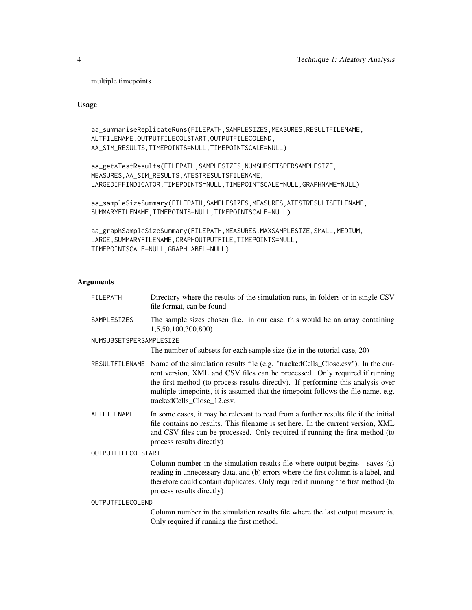multiple timepoints.

Usage

```
aa_summariseReplicateRuns(FILEPATH,SAMPLESIZES,MEASURES,RESULTFILENAME,
ALTFILENAME,OUTPUTFILECOLSTART,OUTPUTFILECOLEND,
AA_SIM_RESULTS,TIMEPOINTS=NULL,TIMEPOINTSCALE=NULL)
```

```
aa_getATestResults(FILEPATH,SAMPLESIZES,NUMSUBSETSPERSAMPLESIZE,
MEASURES,AA_SIM_RESULTS,ATESTRESULTSFILENAME,
LARGEDIFFINDICATOR,TIMEPOINTS=NULL,TIMEPOINTSCALE=NULL,GRAPHNAME=NULL)
```

```
aa_sampleSizeSummary(FILEPATH,SAMPLESIZES,MEASURES,ATESTRESULTSFILENAME,
SUMMARYFILENAME,TIMEPOINTS=NULL,TIMEPOINTSCALE=NULL)
```

```
aa_graphSampleSizeSummary(FILEPATH,MEASURES,MAXSAMPLESIZE,SMALL,MEDIUM,
LARGE,SUMMARYFILENAME,GRAPHOUTPUTFILE,TIMEPOINTS=NULL,
TIMEPOINTSCALE=NULL,GRAPHLABEL=NULL)
```
## Arguments

| FILEPATH                | Directory where the results of the simulation runs, in folders or in single CSV<br>file format, can be found                                                                                                                                                                                                                                                                         |
|-------------------------|--------------------------------------------------------------------------------------------------------------------------------------------------------------------------------------------------------------------------------------------------------------------------------------------------------------------------------------------------------------------------------------|
| SAMPLESIZES             | The sample sizes chosen (i.e. in our case, this would be an array containing<br>1,5,50,100,300,800)                                                                                                                                                                                                                                                                                  |
| NUMSUBSETSPERSAMPLESIZE |                                                                                                                                                                                                                                                                                                                                                                                      |
|                         | The number of subsets for each sample size (i.e in the tutorial case, 20)                                                                                                                                                                                                                                                                                                            |
|                         | RESULTFILENAME Name of the simulation results file (e.g. "trackedCells_Close.csv"). In the cur-<br>rent version, XML and CSV files can be processed. Only required if running<br>the first method (to process results directly). If performing this analysis over<br>multiple timepoints, it is assumed that the timepoint follows the file name, e.g.<br>trackedCells_Close_12.csv. |
| ALTFILENAME             | In some cases, it may be relevant to read from a further results file if the initial<br>file contains no results. This filename is set here. In the current version, XML<br>and CSV files can be processed. Only required if running the first method (to<br>process results directly)                                                                                               |
| OUTPUTFILECOLSTART      |                                                                                                                                                                                                                                                                                                                                                                                      |
|                         | Column number in the simulation results file where output begins - saves (a)<br>reading in unnecessary data, and (b) errors where the first column is a label, and<br>therefore could contain duplicates. Only required if running the first method (to<br>process results directly)                                                                                                 |
| OUTPUTFILECOLEND        |                                                                                                                                                                                                                                                                                                                                                                                      |

Column number in the simulation results file where the last output measure is. Only required if running the first method.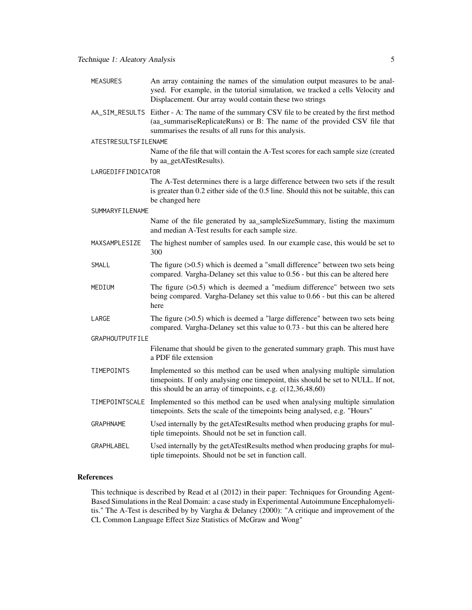| MEASURES | An array containing the names of the simulation output measures to be anal-    |
|----------|--------------------------------------------------------------------------------|
|          | ysed. For example, in the tutorial simulation, we tracked a cells Velocity and |
|          | Displacement. Our array would contain these two strings                        |

AA\_SIM\_RESULTS Either - A: The name of the summary CSV file to be created by the first method (aa\_summariseReplicateRuns) or B: The name of the provided CSV file that summarises the results of all runs for this analysis.

#### ATESTRESULTSFILENAME

Name of the file that will contain the A-Test scores for each sample size (created by aa\_getATestResults).

#### LARGEDIFFINDICATOR

The A-Test determines there is a large difference between two sets if the result is greater than 0.2 either side of the 0.5 line. Should this not be suitable, this can be changed here

#### SUMMARYFILENAME

Name of the file generated by aa sampleSizeSummary, listing the maximum and median A-Test results for each sample size.

- MAXSAMPLESIZE The highest number of samples used. In our example case, this would be set to 300
- SMALL The figure  $(>0.5)$  which is deemed a "small difference" between two sets being compared. Vargha-Delaney set this value to 0.56 - but this can be altered here
- MEDIUM The figure (>0.5) which is deemed a "medium difference" between two sets being compared. Vargha-Delaney set this value to 0.66 - but this can be altered here
- LARGE The figure  $(>0.5)$  which is deemed a "large difference" between two sets being compared. Vargha-Delaney set this value to 0.73 - but this can be altered here

GRAPHOUTPUTFILE

Filename that should be given to the generated summary graph. This must have a PDF file extension

- TIMEPOINTS Implemented so this method can be used when analysing multiple simulation timepoints. If only analysing one timepoint, this should be set to NULL. If not, this should be an array of timepoints, e.g. c(12,36,48,60)
- TIMEPOINTSCALE Implemented so this method can be used when analysing multiple simulation timepoints. Sets the scale of the timepoints being analysed, e.g. "Hours"
- GRAPHNAME Used internally by the getATestResults method when producing graphs for multiple timepoints. Should not be set in function call.

#### References

This technique is described by Read et al (2012) in their paper: Techniques for Grounding Agent-Based Simulations in the Real Domain: a case study in Experimental Autoimmune Encephalomyelitis." The A-Test is described by by Vargha & Delaney (2000): "A critique and improvement of the CL Common Language Effect Size Statistics of McGraw and Wong"

GRAPHLABEL Used internally by the getATestResults method when producing graphs for multiple timepoints. Should not be set in function call.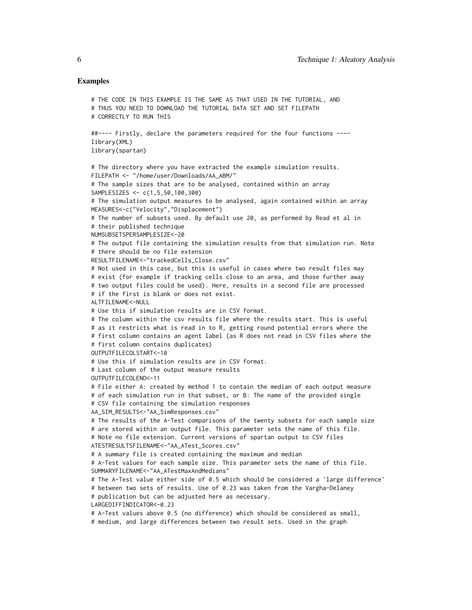## Examples

```
# THE CODE IN THIS EXAMPLE IS THE SAME AS THAT USED IN THE TUTORIAL, AND
# THUS YOU NEED TO DOWNLOAD THE TUTORIAL DATA SET AND SET FILEPATH
# CORRECTLY TO RUN THIS
##---- Firstly, declare the parameters required for the four functions ----
library(XML)
library(spartan)
# The directory where you have extracted the example simulation results.
FILEPATH <- "/home/user/Downloads/AA_ABM/"
# The sample sizes that are to be analysed, contained within an array
SAMPLESIZES <- c(1,5,50,100,300)
# The simulation output measures to be analysed, again contained within an array
MEASURES<-c("Velocity","Displacement")
# The number of subsets used. By default use 20, as performed by Read et al in
# their published technique
NUMSUBSETSPERSAMPLESIZE<-20
# The output file containing the simulation results from that simulation run. Note
# there should be no file extension
RESULTFILENAME<-"trackedCells_Close.csv"
# Not used in this case, but this is useful in cases where two result files may
# exist (for example if tracking cells close to an area, and those further away
# two output files could be used). Here, results in a second file are processed
# if the first is blank or does not exist.
ALTETI FNAME<-NULL
# Use this if simulation results are in CSV format.
# The column within the csv results file where the results start. This is useful
# as it restricts what is read in to R, getting round potential errors where the
# first column contains an agent label (as R does not read in CSV files where the
# first column contains duplicates)
OUTPUTFILECOLSTART<-10
# Use this if simulation results are in CSV format.
# Last column of the output measure results
OUTPUTFILECOLEND<-11
# File either A: created by method 1 to contain the median of each output measure
# of each simulation run in that subset, or B: The name of the provided single
# CSV file containing the simulation responses
AA_SIM_RESULTS<-"AA_SimResponses.csv"
# The results of the A-Test comparisons of the twenty subsets for each sample size
# are stored within an output file. This parameter sets the name of this file.
# Note no file extension. Current versions of spartan output to CSV files
ATESTRESULTSFILENAME<-"AA_ATest_Scores.csv"
# A summary file is created containing the maximum and median
# A-Test values for each sample size. This parameter sets the name of this file.
SUMMARYFILENAME<-"AA_ATestMaxAndMedians"
# The A-Test value either side of 0.5 which should be considered a 'large difference'
# between two sets of results. Use of 0.23 was taken from the Vargha-Delaney
# publication but can be adjusted here as necessary.
LARGEDIFFINDICATOR<-0.23
# A-Test values above 0.5 (no difference) which should be considered as small,
# medium, and large differences between two result sets. Used in the graph
```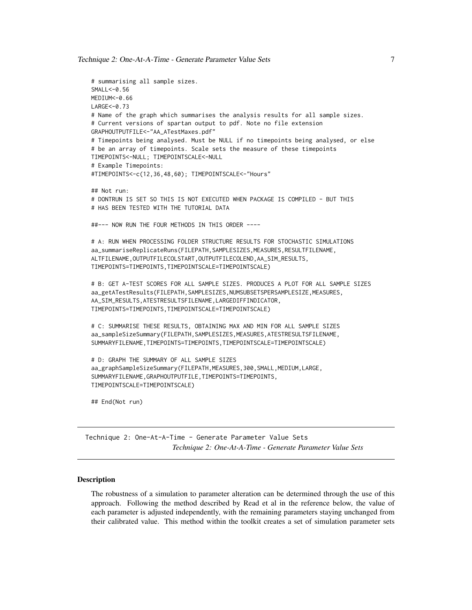<span id="page-6-0"></span>Technique 2: One-At-A-Time - Generate Parameter Value Sets 7

```
# summarising all sample sizes.
SMALL<-0.56
MEDIUM<-0.66
LARGE < -0.73# Name of the graph which summarises the analysis results for all sample sizes.
# Current versions of spartan output to pdf. Note no file extension
GRAPHOUTPUTFILE<-"AA_ATestMaxes.pdf"
# Timepoints being analysed. Must be NULL if no timepoints being analysed, or else
# be an array of timepoints. Scale sets the measure of these timepoints
TIMEPOINTS<-NULL; TIMEPOINTSCALE<-NULL
# Example Timepoints:
#TIMEPOINTS<-c(12,36,48,60); TIMEPOINTSCALE<-"Hours"
## Not run:
# DONTRUN IS SET SO THIS IS NOT EXECUTED WHEN PACKAGE IS COMPILED - BUT THIS
# HAS BEEN TESTED WITH THE TUTORIAL DATA
##--- NOW RUN THE FOUR METHODS IN THIS ORDER ----
# A: RUN WHEN PROCESSING FOLDER STRUCTURE RESULTS FOR STOCHASTIC SIMULATIONS
aa_summariseReplicateRuns(FILEPATH,SAMPLESIZES,MEASURES,RESULTFILENAME,
ALTFILENAME,OUTPUTFILECOLSTART,OUTPUTFILECOLEND,AA_SIM_RESULTS,
TIMEPOINTS=TIMEPOINTS,TIMEPOINTSCALE=TIMEPOINTSCALE)
# B: GET A-TEST SCORES FOR ALL SAMPLE SIZES. PRODUCES A PLOT FOR ALL SAMPLE SIZES
aa_getATestResults(FILEPATH,SAMPLESIZES,NUMSUBSETSPERSAMPLESIZE,MEASURES,
AA_SIM_RESULTS,ATESTRESULTSFILENAME,LARGEDIFFINDICATOR,
TIMEPOINTS=TIMEPOINTS,TIMEPOINTSCALE=TIMEPOINTSCALE)
# C: SUMMARISE THESE RESULTS, OBTAINING MAX AND MIN FOR ALL SAMPLE SIZES
aa_sampleSizeSummary(FILEPATH,SAMPLESIZES,MEASURES,ATESTRESULTSFILENAME,
SUMMARYFILENAME,TIMEPOINTS=TIMEPOINTS,TIMEPOINTSCALE=TIMEPOINTSCALE)
# D: GRAPH THE SUMMARY OF ALL SAMPLE SIZES
aa_graphSampleSizeSummary(FILEPATH,MEASURES,300,SMALL,MEDIUM,LARGE,
SUMMARYFILENAME,GRAPHOUTPUTFILE,TIMEPOINTS=TIMEPOINTS,
TIMEPOINTSCALE=TIMEPOINTSCALE)
## End(Not run)
```
Technique 2: One-At-A-Time - Generate Parameter Value Sets *Technique 2: One-At-A-Time - Generate Parameter Value Sets*

#### Description

The robustness of a simulation to parameter alteration can be determined through the use of this approach. Following the method described by Read et al in the reference below, the value of each parameter is adjusted independently, with the remaining parameters staying unchanged from their calibrated value. This method within the toolkit creates a set of simulation parameter sets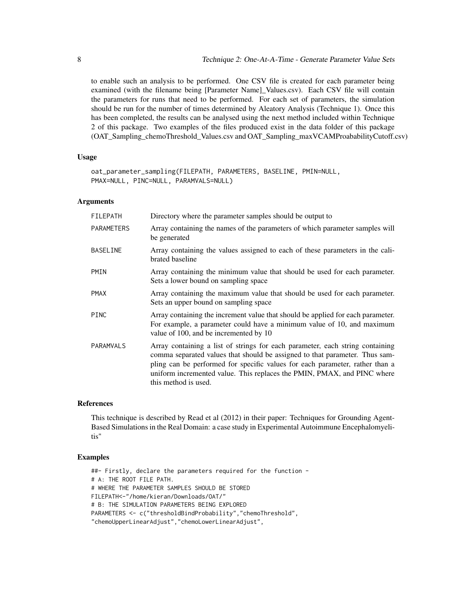to enable such an analysis to be performed. One CSV file is created for each parameter being examined (with the filename being [Parameter Name]\_Values.csv). Each CSV file will contain the parameters for runs that need to be performed. For each set of parameters, the simulation should be run for the number of times determined by Aleatory Analysis (Technique 1). Once this has been completed, the results can be analysed using the next method included within Technique 2 of this package. Two examples of the files produced exist in the data folder of this package (OAT\_Sampling\_chemoThreshold\_Values.csv and OAT\_Sampling\_maxVCAMProababilityCutoff.csv)

### Usage

```
oat_parameter_sampling(FILEPATH, PARAMETERS, BASELINE, PMIN=NULL,
PMAX=NULL, PINC=NULL, PARAMVALS=NULL)
```
#### Arguments

| <b>FILEPATH</b>   | Directory where the parameter samples should be output to                                                                                                                                                                                                                                                                                       |
|-------------------|-------------------------------------------------------------------------------------------------------------------------------------------------------------------------------------------------------------------------------------------------------------------------------------------------------------------------------------------------|
| <b>PARAMETERS</b> | Array containing the names of the parameters of which parameter samples will<br>be generated                                                                                                                                                                                                                                                    |
| <b>BASELINE</b>   | Array containing the values assigned to each of these parameters in the cali-<br>brated baseline                                                                                                                                                                                                                                                |
| PMIN              | Array containing the minimum value that should be used for each parameter.<br>Sets a lower bound on sampling space                                                                                                                                                                                                                              |
| <b>PMAX</b>       | Array containing the maximum value that should be used for each parameter.<br>Sets an upper bound on sampling space                                                                                                                                                                                                                             |
| <b>PINC</b>       | Array containing the increment value that should be applied for each parameter.<br>For example, a parameter could have a minimum value of 10, and maximum<br>value of 100, and be incremented by 10                                                                                                                                             |
| <b>PARAMVALS</b>  | Array containing a list of strings for each parameter, each string containing<br>comma separated values that should be assigned to that parameter. Thus sam-<br>pling can be performed for specific values for each parameter, rather than a<br>uniform incremented value. This replaces the PMIN, PMAX, and PINC where<br>this method is used. |

#### References

This technique is described by Read et al (2012) in their paper: Techniques for Grounding Agent-Based Simulations in the Real Domain: a case study in Experimental Autoimmune Encephalomyelitis"

### Examples

##- Firstly, declare the parameters required for the function - # A: THE ROOT FILE PATH. # WHERE THE PARAMETER SAMPLES SHOULD BE STORED FILEPATH<-"/home/kieran/Downloads/OAT/" # B: THE SIMULATION PARAMETERS BEING EXPLORED PARAMETERS <- c("thresholdBindProbability","chemoThreshold", "chemoUpperLinearAdjust","chemoLowerLinearAdjust",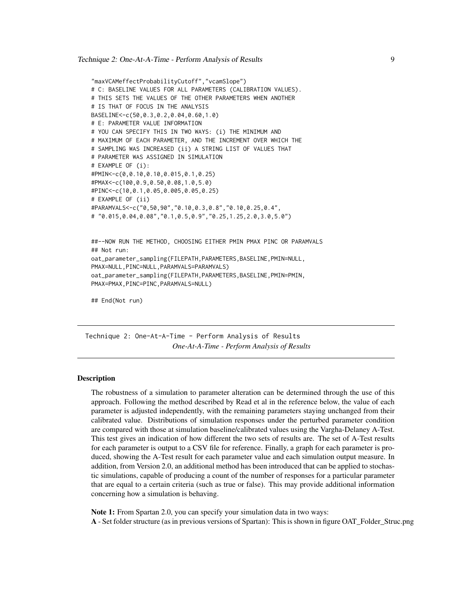```
"maxVCAMeffectProbabilityCutoff","vcamSlope")
# C: BASELINE VALUES FOR ALL PARAMETERS (CALIBRATION VALUES).
# THIS SETS THE VALUES OF THE OTHER PARAMETERS WHEN ANOTHER
# IS THAT OF FOCUS IN THE ANALYSIS
BASELINE<-c(50,0.3,0.2,0.04,0.60,1.0)
# E: PARAMETER VALUE INFORMATION
# YOU CAN SPECIFY THIS IN TWO WAYS: (i) THE MINIMUM AND
# MAXIMUM OF EACH PARAMETER, AND THE INCREMENT OVER WHICH THE
# SAMPLING WAS INCREASED (ii) A STRING LIST OF VALUES THAT
# PARAMETER WAS ASSIGNED IN SIMULATION
# EXAMPLE OF (i):
#PMIN<-c(0,0.10,0.10,0.015,0.1,0.25)
#PMAX<-c(100,0.9,0.50,0.08,1.0,5.0)
#PINC<-c(10,0.1,0.05,0.005,0.05,0.25)
# EXAMPLE OF (ii)
#PARAMVALS<-c("0,50,90","0.10,0.3,0.8","0.10,0.25,0.4",
# "0.015,0.04,0.08","0.1,0.5,0.9","0.25,1.25,2.0,3.0,5.0")
##--NOW RUN THE METHOD, CHOOSING EITHER PMIN PMAX PINC OR PARAMVALS
```

```
## Not run:
oat_parameter_sampling(FILEPATH,PARAMETERS,BASELINE,PMIN=NULL,
PMAX=NULL,PINC=NULL,PARAMVALS=PARAMVALS)
oat_parameter_sampling(FILEPATH,PARAMETERS,BASELINE,PMIN=PMIN,
PMAX=PMAX,PINC=PINC,PARAMVALS=NULL)
```

```
## End(Not run)
```
Technique 2: One-At-A-Time - Perform Analysis of Results *One-At-A-Time - Perform Analysis of Results*

#### **Description**

The robustness of a simulation to parameter alteration can be determined through the use of this approach. Following the method described by Read et al in the reference below, the value of each parameter is adjusted independently, with the remaining parameters staying unchanged from their calibrated value. Distributions of simulation responses under the perturbed parameter condition are compared with those at simulation baseline/calibrated values using the Vargha-Delaney A-Test. This test gives an indication of how different the two sets of results are. The set of A-Test results for each parameter is output to a CSV file for reference. Finally, a graph for each parameter is produced, showing the A-Test result for each parameter value and each simulation output measure. In addition, from Version 2.0, an additional method has been introduced that can be applied to stochastic simulations, capable of producing a count of the number of responses for a particular parameter that are equal to a certain criteria (such as true or false). This may provide additional information concerning how a simulation is behaving.

Note 1: From Spartan 2.0, you can specify your simulation data in two ways: A - Set folder structure (as in previous versions of Spartan): This is shown in figure OAT\_Folder\_Struc.png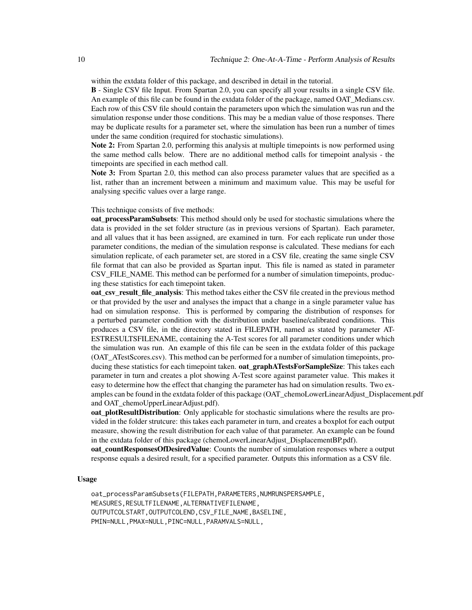within the extdata folder of this package, and described in detail in the tutorial.

B - Single CSV file Input. From Spartan 2.0, you can specify all your results in a single CSV file. An example of this file can be found in the extdata folder of the package, named OAT\_Medians.csv. Each row of this CSV file should contain the parameters upon which the simulation was run and the simulation response under those conditions. This may be a median value of those responses. There may be duplicate results for a parameter set, where the simulation has been run a number of times under the same condition (required for stochastic simulations).

Note 2: From Spartan 2.0, performing this analysis at multiple timepoints is now performed using the same method calls below. There are no additional method calls for timepoint analysis - the timepoints are specified in each method call.

Note 3: From Spartan 2.0, this method can also process parameter values that are specified as a list, rather than an increment between a minimum and maximum value. This may be useful for analysing specific values over a large range.

#### This technique consists of five methods:

oat\_processParamSubsets: This method should only be used for stochastic simulations where the data is provided in the set folder structure (as in previous versions of Spartan). Each parameter, and all values that it has been assigned, are examined in turn. For each replicate run under those parameter conditions, the median of the simulation response is calculated. These medians for each simulation replicate, of each parameter set, are stored in a CSV file, creating the same single CSV file format that can also be provided as Spartan input. This file is named as stated in parameter CSV\_FILE\_NAME. This method can be performed for a number of simulation timepoints, producing these statistics for each timepoint taken.

oat\_csv\_result\_file\_analysis: This method takes either the CSV file created in the previous method or that provided by the user and analyses the impact that a change in a single parameter value has had on simulation response. This is performed by comparing the distribution of responses for a perturbed parameter condition with the distribution under baseline/calibrated conditions. This produces a CSV file, in the directory stated in FILEPATH, named as stated by parameter AT-ESTRESULTSFILENAME, containing the A-Test scores for all parameter conditions under which the simulation was run. An example of this file can be seen in the extdata folder of this package (OAT\_ATestScores.csv). This method can be performed for a number of simulation timepoints, producing these statistics for each timepoint taken. oat\_graphATestsForSampleSize: This takes each parameter in turn and creates a plot showing A-Test score against parameter value. This makes it easy to determine how the effect that changing the parameter has had on simulation results. Two examples can be found in the extdata folder of this package (OAT\_chemoLowerLinearAdjust\_Displacement.pdf and OAT\_chemoUpperLinearAdjust.pdf).

oat plotResultDistribution: Only applicable for stochastic simulations where the results are provided in the folder strutcure: this takes each parameter in turn, and creates a boxplot for each output measure, showing the result distribution for each value of that parameter. An example can be found in the extdata folder of this package (chemoLowerLinearAdjust\_DisplacementBP.pdf).

oat countResponsesOfDesiredValue: Counts the number of simulation responses where a output response equals a desired result, for a specified parameter. Outputs this information as a CSV file.

#### Usage

oat\_processParamSubsets(FILEPATH,PARAMETERS,NUMRUNSPERSAMPLE, MEASURES,RESULTFILENAME,ALTERNATIVEFILENAME, OUTPUTCOLSTART,OUTPUTCOLEND,CSV\_FILE\_NAME,BASELINE, PMIN=NULL,PMAX=NULL,PINC=NULL,PARAMVALS=NULL,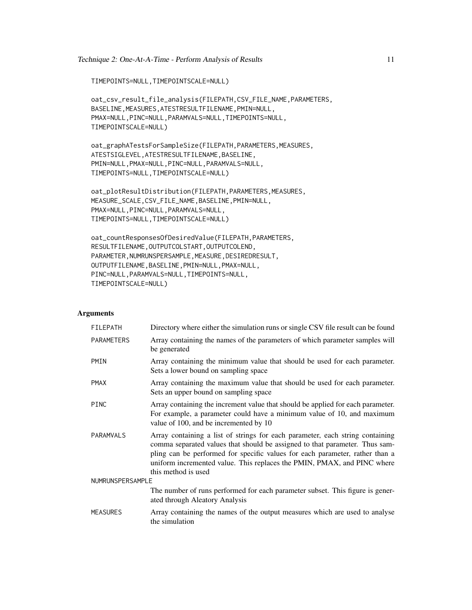```
TIMEPOINTS=NULL,TIMEPOINTSCALE=NULL)
```

```
oat_csv_result_file_analysis(FILEPATH,CSV_FILE_NAME,PARAMETERS,
BASELINE,MEASURES,ATESTRESULTFILENAME,PMIN=NULL,
PMAX=NULL,PINC=NULL,PARAMVALS=NULL,TIMEPOINTS=NULL,
TIMEPOINTSCALE=NULL)
```
oat\_graphATestsForSampleSize(FILEPATH,PARAMETERS,MEASURES, ATESTSIGLEVEL,ATESTRESULTFILENAME,BASELINE, PMIN=NULL,PMAX=NULL,PINC=NULL,PARAMVALS=NULL, TIMEPOINTS=NULL,TIMEPOINTSCALE=NULL)

oat\_plotResultDistribution(FILEPATH,PARAMETERS,MEASURES, MEASURE\_SCALE,CSV\_FILE\_NAME,BASELINE,PMIN=NULL, PMAX=NULL,PINC=NULL,PARAMVALS=NULL, TIMEPOINTS=NULL,TIMEPOINTSCALE=NULL)

```
oat_countResponsesOfDesiredValue(FILEPATH,PARAMETERS,
RESULTFILENAME,OUTPUTCOLSTART,OUTPUTCOLEND,
PARAMETER,NUMRUNSPERSAMPLE,MEASURE,DESIREDRESULT,
OUTPUTFILENAME,BASELINE,PMIN=NULL,PMAX=NULL,
PINC=NULL,PARAMVALS=NULL,TIMEPOINTS=NULL,
TIMEPOINTSCALE=NULL)
```
## Arguments

| <b>FILEPATH</b>   | Directory where either the simulation runs or single CSV file result can be found                                                                                                                                                                                                                                                              |  |
|-------------------|------------------------------------------------------------------------------------------------------------------------------------------------------------------------------------------------------------------------------------------------------------------------------------------------------------------------------------------------|--|
| <b>PARAMETERS</b> | Array containing the names of the parameters of which parameter samples will<br>be generated                                                                                                                                                                                                                                                   |  |
| PMIN              | Array containing the minimum value that should be used for each parameter.<br>Sets a lower bound on sampling space                                                                                                                                                                                                                             |  |
| <b>PMAX</b>       | Array containing the maximum value that should be used for each parameter.<br>Sets an upper bound on sampling space                                                                                                                                                                                                                            |  |
| <b>PINC</b>       | Array containing the increment value that should be applied for each parameter.<br>For example, a parameter could have a minimum value of 10, and maximum<br>value of 100, and be incremented by 10                                                                                                                                            |  |
| PARAMVALS         | Array containing a list of strings for each parameter, each string containing<br>comma separated values that should be assigned to that parameter. Thus sam-<br>pling can be performed for specific values for each parameter, rather than a<br>uniform incremented value. This replaces the PMIN, PMAX, and PINC where<br>this method is used |  |
| NUMRUNSPERSAMPLE  |                                                                                                                                                                                                                                                                                                                                                |  |
|                   | The number of runs performed for each parameter subset. This figure is gener-<br>ated through Aleatory Analysis                                                                                                                                                                                                                                |  |
| <b>MEASURES</b>   | Array containing the names of the output measures which are used to analyse<br>the simulation                                                                                                                                                                                                                                                  |  |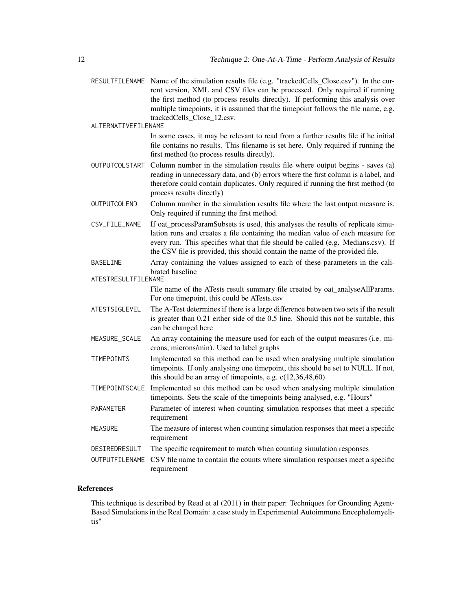RESULTFILENAME Name of the simulation results file (e.g. "trackedCells\_Close.csv"). In the current version, XML and CSV files can be processed. Only required if running the first method (to process results directly). If performing this analysis over multiple timepoints, it is assumed that the timepoint follows the file name, e.g. trackedCells\_Close\_12.csv.

ALTERNATIVEFILENAME

In some cases, it may be relevant to read from a further results file if he initial file contains no results. This filename is set here. Only required if running the first method (to process results directly).

- OUTPUTCOLSTART Column number in the simulation results file where output begins saves (a) reading in unnecessary data, and (b) errors where the first column is a label, and therefore could contain duplicates. Only required if running the first method (to process results directly)
- OUTPUTCOLEND Column number in the simulation results file where the last output measure is. Only required if running the first method.
- CSV\_FILE\_NAME If oat processParamSubsets is used, this analyses the results of replicate simulation runs and creates a file containing the median value of each measure for every run. This specifies what that file should be called (e.g. Medians.csv). If the CSV file is provided, this should contain the name of the provided file.
- BASELINE Array containing the values assigned to each of these parameters in the calibrated baseline
- ATESTRESULTFILENAME File name of the ATests result summary file created by oat analyseAllParams. For one timepoint, this could be ATests.csv
- ATESTSIGLEVEL The A-Test determines if there is a large difference between two sets if the result is greater than 0.21 either side of the 0.5 line. Should this not be suitable, this can be changed here
- MEASURE\_SCALE An array containing the measure used for each of the output measures (i.e. microns, microns/min). Used to label graphs
- TIMEPOINTS Implemented so this method can be used when analysing multiple simulation timepoints. If only analysing one timepoint, this should be set to NULL. If not, this should be an array of timepoints, e.g.  $c(12,36,48,60)$
- TIMEPOINTSCALE Implemented so this method can be used when analysing multiple simulation timepoints. Sets the scale of the timepoints being analysed, e.g. "Hours"
- PARAMETER Parameter of interest when counting simulation responses that meet a specific requirement
- MEASURE The measure of interest when counting simulation responses that meet a specific requirement
- DESIREDRESULT The specific requirement to match when counting simulation responses
- OUTPUTFILENAME CSV file name to contain the counts where simulation responses meet a specific requirement

## References

This technique is described by Read et al (2011) in their paper: Techniques for Grounding Agent-Based Simulations in the Real Domain: a case study in Experimental Autoimmune Encephalomyelitis"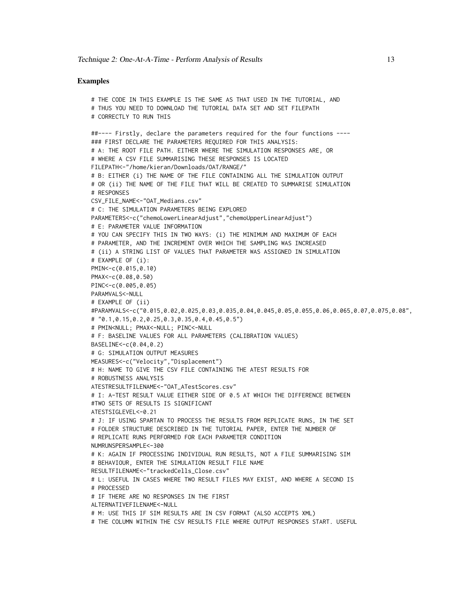## Examples

```
# THE CODE IN THIS EXAMPLE IS THE SAME AS THAT USED IN THE TUTORIAL, AND
# THUS YOU NEED TO DOWNLOAD THE TUTORIAL DATA SET AND SET FILEPATH
# CORRECTLY TO RUN THIS
##---- Firstly, declare the parameters required for the four functions ----
### FIRST DECLARE THE PARAMETERS REQUIRED FOR THIS ANALYSIS:
# A: THE ROOT FILE PATH. EITHER WHERE THE SIMULATION RESPONSES ARE, OR
# WHERE A CSV FILE SUMMARISING THESE RESPONSES IS LOCATED
FILEPATH<-"/home/kieran/Downloads/OAT/RANGE/"
# B: EITHER (i) THE NAME OF THE FILE CONTAINING ALL THE SIMULATION OUTPUT
# OR (ii) THE NAME OF THE FILE THAT WILL BE CREATED TO SUMMARISE SIMULATION
# RESPONSES
CSV_FILE_NAME<-"OAT_Medians.csv"
# C: THE SIMULATION PARAMETERS BEING EXPLORED
PARAMETERS<-c("chemoLowerLinearAdjust","chemoUpperLinearAdjust")
# E: PARAMETER VALUE INFORMATION
# YOU CAN SPECIFY THIS IN TWO WAYS: (i) THE MINIMUM AND MAXIMUM OF EACH
# PARAMETER, AND THE INCREMENT OVER WHICH THE SAMPLING WAS INCREASED
# (ii) A STRING LIST OF VALUES THAT PARAMETER WAS ASSIGNED IN SIMULATION
# EXAMPLE OF (i):
PMIN<-c(0.015,0.10)
PMAX<-c(0.08,0.50)
PINC<-c(0.005,0.05)
PARAMVALS<-NULL
# EXAMPLE OF (ii)
#PARAMVALS<-c("0.015,0.02,0.025,0.03,0.035,0.04,0.045,0.05,0.055,0.06,0.065,0.07,0.075,0.08",
# "0.1,0.15,0.2,0.25,0.3,0.35,0.4,0.45,0.5")
# PMIN<NULL; PMAX<-NULL; PINC<-NULL
# F: BASELINE VALUES FOR ALL PARAMETERS (CALIBRATION VALUES)
BASELINE<-c(0.04,0.2)
# G: SIMULATION OUTPUT MEASURES
MEASURES<-c("Velocity","Displacement")
# H: NAME TO GIVE THE CSV FILE CONTAINING THE ATEST RESULTS FOR
# ROBUSTNESS ANALYSIS
ATESTRESULTFILENAME<-"OAT_ATestScores.csv"
# I: A-TEST RESULT VALUE EITHER SIDE OF 0.5 AT WHICH THE DIFFERENCE BETWEEN
#TWO SETS OF RESULTS IS SIGNIFICANT
ATESTSIGLEVEL<-0.21
# J: IF USING SPARTAN TO PROCESS THE RESULTS FROM REPLICATE RUNS, IN THE SET
# FOLDER STRUCTURE DESCRIBED IN THE TUTORIAL PAPER, ENTER THE NUMBER OF
# REPLICATE RUNS PERFORMED FOR EACH PARAMETER CONDITION
NUMRUNSPERSAMPLE<-300
# K: AGAIN IF PROCESSING INDIVIDUAL RUN RESULTS, NOT A FILE SUMMARISING SIM
# BEHAVIOUR, ENTER THE SIMULATION RESULT FILE NAME
RESULTFILENAME<-"trackedCells_Close.csv"
# L: USEFUL IN CASES WHERE TWO RESULT FILES MAY EXIST, AND WHERE A SECOND IS
# PROCESSED
# IF THERE ARE NO RESPONSES IN THE FIRST
ALTERNATIVEFILENAME<-NULL
# M: USE THIS IF SIM RESULTS ARE IN CSV FORMAT (ALSO ACCEPTS XML)
# THE COLUMN WITHIN THE CSV RESULTS FILE WHERE OUTPUT RESPONSES START. USEFUL
```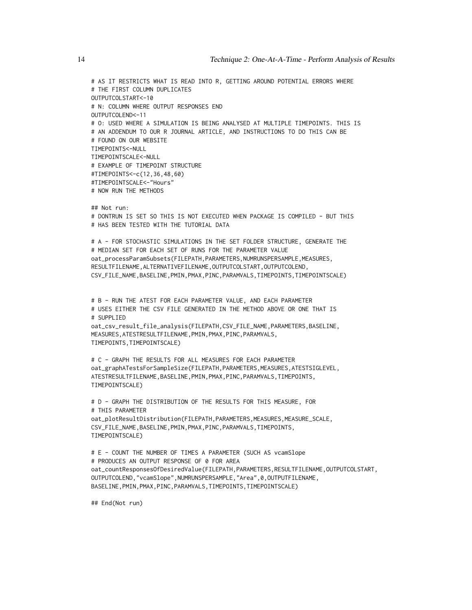# AS IT RESTRICTS WHAT IS READ INTO R, GETTING AROUND POTENTIAL ERRORS WHERE # THE FIRST COLUMN DUPLICATES OUTPUTCOLSTART<-10 # N: COLUMN WHERE OUTPUT RESPONSES END OUTPUTCOLEND<-11 # O: USED WHERE A SIMULATION IS BEING ANALYSED AT MULTIPLE TIMEPOINTS. THIS IS # AN ADDENDUM TO OUR R JOURNAL ARTICLE, AND INSTRUCTIONS TO DO THIS CAN BE # FOUND ON OUR WEBSITE TIMEPOINTS<-NULL TIMEPOINTSCALE<-NULL # EXAMPLE OF TIMEPOINT STRUCTURE #TIMEPOINTS<-c(12,36,48,60) #TIMEPOINTSCALE<-"Hours" # NOW RUN THE METHODS ## Not run: # DONTRUN IS SET SO THIS IS NOT EXECUTED WHEN PACKAGE IS COMPILED - BUT THIS # HAS BEEN TESTED WITH THE TUTORIAL DATA # A - FOR STOCHASTIC SIMULATIONS IN THE SET FOLDER STRUCTURE, GENERATE THE # MEDIAN SET FOR EACH SET OF RUNS FOR THE PARAMETER VALUE oat\_processParamSubsets(FILEPATH,PARAMETERS,NUMRUNSPERSAMPLE,MEASURES, RESULTFILENAME,ALTERNATIVEFILENAME,OUTPUTCOLSTART,OUTPUTCOLEND, CSV\_FILE\_NAME,BASELINE,PMIN,PMAX,PINC,PARAMVALS,TIMEPOINTS,TIMEPOINTSCALE) # B - RUN THE ATEST FOR EACH PARAMETER VALUE, AND EACH PARAMETER # USES EITHER THE CSV FILE GENERATED IN THE METHOD ABOVE OR ONE THAT IS # SUPPLIED oat\_csv\_result\_file\_analysis(FILEPATH,CSV\_FILE\_NAME,PARAMETERS,BASELINE, MEASURES,ATESTRESULTFILENAME,PMIN,PMAX,PINC,PARAMVALS, TIMEPOINTS,TIMEPOINTSCALE) # C - GRAPH THE RESULTS FOR ALL MEASURES FOR EACH PARAMETER oat\_graphATestsForSampleSize(FILEPATH,PARAMETERS,MEASURES,ATESTSIGLEVEL, ATESTRESULTFILENAME,BASELINE,PMIN,PMAX,PINC,PARAMVALS,TIMEPOINTS, TIMEPOINTSCALE) # D - GRAPH THE DISTRIBUTION OF THE RESULTS FOR THIS MEASURE, FOR # THIS PARAMETER oat\_plotResultDistribution(FILEPATH,PARAMETERS,MEASURES,MEASURE\_SCALE, CSV\_FILE\_NAME,BASELINE,PMIN,PMAX,PINC,PARAMVALS,TIMEPOINTS, TIMEPOINTSCALE) # E - COUNT THE NUMBER OF TIMES A PARAMETER (SUCH AS vcamSlope # PRODUCES AN OUTPUT RESPONSE OF 0 FOR AREA oat\_countResponsesOfDesiredValue(FILEPATH,PARAMETERS,RESULTFILENAME,OUTPUTCOLSTART,

OUTPUTCOLEND,"vcamSlope",NUMRUNSPERSAMPLE,"Area",0,OUTPUTFILENAME, BASELINE,PMIN,PMAX,PINC,PARAMVALS,TIMEPOINTS,TIMEPOINTSCALE)

## End(Not run)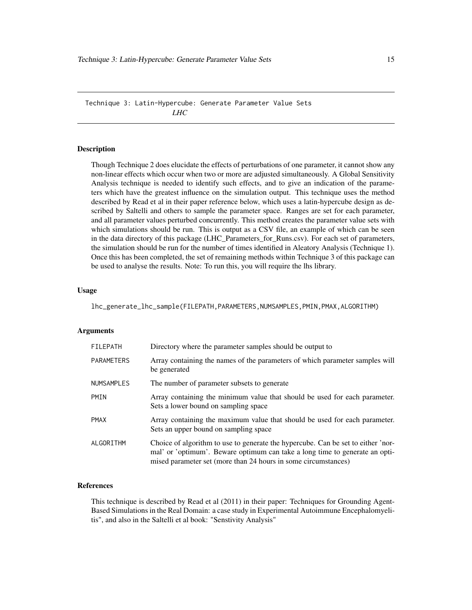<span id="page-14-0"></span>Technique 3: Latin-Hypercube: Generate Parameter Value Sets *LHC*

#### Description

Though Technique 2 does elucidate the effects of perturbations of one parameter, it cannot show any non-linear effects which occur when two or more are adjusted simultaneously. A Global Sensitivity Analysis technique is needed to identify such effects, and to give an indication of the parameters which have the greatest influence on the simulation output. This technique uses the method described by Read et al in their paper reference below, which uses a latin-hypercube design as described by Saltelli and others to sample the parameter space. Ranges are set for each parameter, and all parameter values perturbed concurrently. This method creates the parameter value sets with which simulations should be run. This is output as a CSV file, an example of which can be seen in the data directory of this package (LHC\_Parameters\_for\_Runs.csv). For each set of parameters, the simulation should be run for the number of times identified in Aleatory Analysis (Technique 1). Once this has been completed, the set of remaining methods within Technique 3 of this package can be used to analyse the results. Note: To run this, you will require the lhs library.

#### Usage

lhc\_generate\_lhc\_sample(FILEPATH,PARAMETERS,NUMSAMPLES,PMIN,PMAX,ALGORITHM)

#### Arguments

| <b>FILEPATH</b>   | Directory where the parameter samples should be output to                                                                                                                                                                         |
|-------------------|-----------------------------------------------------------------------------------------------------------------------------------------------------------------------------------------------------------------------------------|
| PARAMETERS        | Array containing the names of the parameters of which parameter samples will<br>be generated                                                                                                                                      |
| <b>NUMSAMPLES</b> | The number of parameter subsets to generate                                                                                                                                                                                       |
| PMIN              | Array containing the minimum value that should be used for each parameter.<br>Sets a lower bound on sampling space                                                                                                                |
| <b>PMAX</b>       | Array containing the maximum value that should be used for each parameter.<br>Sets an upper bound on sampling space                                                                                                               |
| ALGORITHM         | Choice of algorithm to use to generate the hypercube. Can be set to either 'nor-<br>mal' or 'optimum'. Beware optimum can take a long time to generate an opti-<br>mised parameter set (more than 24 hours in some circumstances) |

#### References

This technique is described by Read et al (2011) in their paper: Techniques for Grounding Agent-Based Simulations in the Real Domain: a case study in Experimental Autoimmune Encephalomyelitis", and also in the Saltelli et al book: "Senstivity Analysis"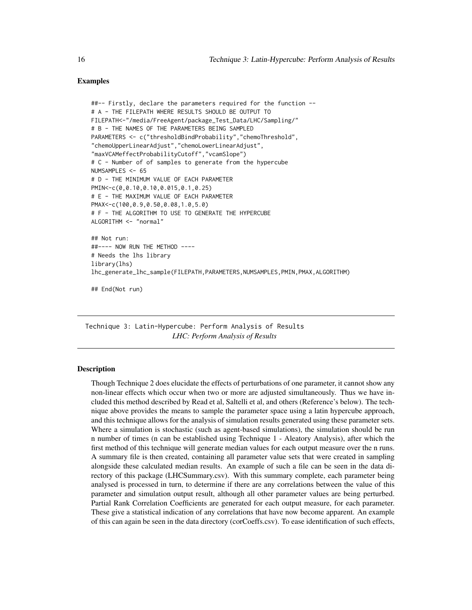## Examples

```
##-- Firstly, declare the parameters required for the function --
# A - THE FILEPATH WHERE RESULTS SHOULD BE OUTPUT TO
FILEPATH<-"/media/FreeAgent/package_Test_Data/LHC/Sampling/"
# B - THE NAMES OF THE PARAMETERS BEING SAMPLED
PARAMETERS <- c("thresholdBindProbability","chemoThreshold",
"chemoUpperLinearAdjust","chemoLowerLinearAdjust",
"maxVCAMeffectProbabilityCutoff","vcamSlope")
# C - Number of of samples to generate from the hypercube
NUMSAMPLES <- 65
# D - THE MINIMUM VALUE OF EACH PARAMETER
PMIN<-c(0,0.10,0.10,0.015,0.1,0.25)
# E - THE MAXIMUM VALUE OF EACH PARAMETER
PMAX<-c(100,0.9,0.50,0.08,1.0,5.0)
# F - THE ALGORITHM TO USE TO GENERATE THE HYPERCUBE
ALGORITHM <- "normal"
## Not run:
##---- NOW RUN THE METHOD ----
# Needs the lhs library
library(lhs)
lhc_generate_lhc_sample(FILEPATH,PARAMETERS,NUMSAMPLES,PMIN,PMAX,ALGORITHM)
## End(Not run)
```
Technique 3: Latin-Hypercube: Perform Analysis of Results *LHC: Perform Analysis of Results*

#### Description

Though Technique 2 does elucidate the effects of perturbations of one parameter, it cannot show any non-linear effects which occur when two or more are adjusted simultaneously. Thus we have included this method described by Read et al, Saltelli et al, and others (Reference's below). The technique above provides the means to sample the parameter space using a latin hypercube approach, and this technique allows for the analysis of simulation results generated using these parameter sets. Where a simulation is stochastic (such as agent-based simulations), the simulation should be run n number of times (n can be established using Technique 1 - Aleatory Analysis), after which the first method of this technique will generate median values for each output measure over the n runs. A summary file is then created, containing all parameter value sets that were created in sampling alongside these calculated median results. An example of such a file can be seen in the data directory of this package (LHCSummary.csv). With this summary complete, each parameter being analysed is processed in turn, to determine if there are any correlations between the value of this parameter and simulation output result, although all other parameter values are being perturbed. Partial Rank Correlation Coefficients are generated for each output measure, for each parameter. These give a statistical indication of any correlations that have now become apparent. An example of this can again be seen in the data directory (corCoeffs.csv). To ease identification of such effects,

<span id="page-15-0"></span>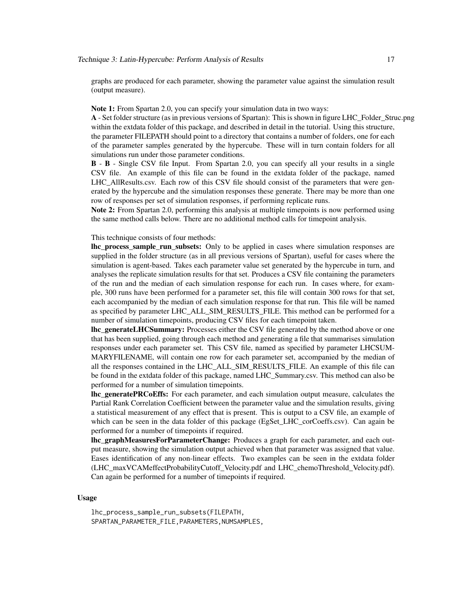graphs are produced for each parameter, showing the parameter value against the simulation result (output measure).

Note 1: From Spartan 2.0, you can specify your simulation data in two ways:

A - Set folder structure (as in previous versions of Spartan): This is shown in figure LHC\_Folder\_Struc.png within the extdata folder of this package, and described in detail in the tutorial. Using this structure, the parameter FILEPATH should point to a directory that contains a number of folders, one for each of the parameter samples generated by the hypercube. These will in turn contain folders for all simulations run under those parameter conditions.

B - B - Single CSV file Input. From Spartan 2.0, you can specify all your results in a single CSV file. An example of this file can be found in the extdata folder of the package, named LHC\_AllResults.csv. Each row of this CSV file should consist of the parameters that were generated by the hypercube and the simulation responses these generate. There may be more than one row of responses per set of simulation responses, if performing replicate runs.

Note 2: From Spartan 2.0, performing this analysis at multiple timepoints is now performed using the same method calls below. There are no additional method calls for timepoint analysis.

#### This technique consists of four methods:

**lhc** process sample run subsets: Only to be applied in cases where simulation responses are supplied in the folder structure (as in all previous versions of Spartan), useful for cases where the simulation is agent-based. Takes each parameter value set generated by the hypercube in turn, and analyses the replicate simulation results for that set. Produces a CSV file containing the parameters of the run and the median of each simulation response for each run. In cases where, for example, 300 runs have been performed for a parameter set, this file will contain 300 rows for that set, each accompanied by the median of each simulation response for that run. This file will be named as specified by parameter LHC\_ALL\_SIM\_RESULTS\_FILE. This method can be performed for a number of simulation timepoints, producing CSV files for each timepoint taken.

**lhc\_generateLHCSummary:** Processes either the CSV file generated by the method above or one that has been supplied, going through each method and generating a file that summarises simulation responses under each parameter set. This CSV file, named as specified by parameter LHCSUM-MARYFILENAME, will contain one row for each parameter set, accompanied by the median of all the responses contained in the LHC\_ALL\_SIM\_RESULTS\_FILE. An example of this file can be found in the extdata folder of this package, named LHC\_Summary.csv. This method can also be performed for a number of simulation timepoints.

**lhc\_generatePRCoEffs:** For each parameter, and each simulation output measure, calculates the Partial Rank Correlation Coefficient between the parameter value and the simulation results, giving a statistical measurement of any effect that is present. This is output to a CSV file, an example of which can be seen in the data folder of this package (EgSet\_LHC\_corCoeffs.csv). Can again be performed for a number of timepoints if required.

lhc\_graphMeasuresForParameterChange: Produces a graph for each parameter, and each output measure, showing the simulation output achieved when that parameter was assigned that value. Eases identification of any non-linear effects. Two examples can be seen in the extdata folder (LHC\_maxVCAMeffectProbabilityCutoff\_Velocity.pdf and LHC\_chemoThreshold\_Velocity.pdf). Can again be performed for a number of timepoints if required.

#### Usage

lhc\_process\_sample\_run\_subsets(FILEPATH, SPARTAN\_PARAMETER\_FILE,PARAMETERS,NUMSAMPLES,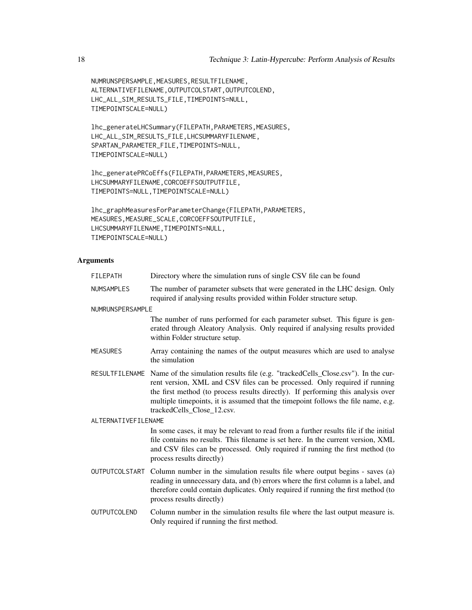NUMRUNSPERSAMPLE,MEASURES,RESULTFILENAME, ALTERNATIVEFILENAME,OUTPUTCOLSTART,OUTPUTCOLEND, LHC\_ALL\_SIM\_RESULTS\_FILE,TIMEPOINTS=NULL, TIMEPOINTSCALE=NULL)

lhc\_generateLHCSummary(FILEPATH,PARAMETERS,MEASURES, LHC\_ALL\_SIM\_RESULTS\_FILE,LHCSUMMARYFILENAME, SPARTAN\_PARAMETER\_FILE,TIMEPOINTS=NULL, TIMEPOINTSCALE=NULL)

lhc\_generatePRCoEffs(FILEPATH,PARAMETERS,MEASURES, LHCSUMMARYFILENAME,CORCOEFFSOUTPUTFILE, TIMEPOINTS=NULL,TIMEPOINTSCALE=NULL)

lhc\_graphMeasuresForParameterChange(FILEPATH,PARAMETERS, MEASURES,MEASURE\_SCALE,CORCOEFFSOUTPUTFILE, LHCSUMMARYFILENAME,TIMEPOINTS=NULL, TIMEPOINTSCALE=NULL)

#### Arguments

| <b>FILEPATH</b>       | Directory where the simulation runs of single CSV file can be found                                                                                                                                                                                                                                                                                                                  |
|-----------------------|--------------------------------------------------------------------------------------------------------------------------------------------------------------------------------------------------------------------------------------------------------------------------------------------------------------------------------------------------------------------------------------|
| <b>NUMSAMPLES</b>     | The number of parameter subsets that were generated in the LHC design. Only<br>required if analysing results provided within Folder structure setup.                                                                                                                                                                                                                                 |
| NUMRUNSPERSAMPLE      |                                                                                                                                                                                                                                                                                                                                                                                      |
|                       | The number of runs performed for each parameter subset. This figure is gen-<br>erated through Aleatory Analysis. Only required if analysing results provided<br>within Folder structure setup.                                                                                                                                                                                       |
| <b>MEASURES</b>       | Array containing the names of the output measures which are used to analyse<br>the simulation                                                                                                                                                                                                                                                                                        |
|                       | RESULTFILENAME Name of the simulation results file (e.g. "trackedCells_Close.csv"). In the cur-<br>rent version, XML and CSV files can be processed. Only required if running<br>the first method (to process results directly). If performing this analysis over<br>multiple timepoints, it is assumed that the timepoint follows the file name, e.g.<br>trackedCells_Close_12.csv. |
| ALTERNATIVEFILENAME   |                                                                                                                                                                                                                                                                                                                                                                                      |
|                       | In some cases, it may be relevant to read from a further results file if the initial<br>file contains no results. This filename is set here. In the current version, XML<br>and CSV files can be processed. Only required if running the first method (to<br>process results directly)                                                                                               |
| <b>OUTPUTCOLSTART</b> | Column number in the simulation results file where output begins - saves (a)<br>reading in unnecessary data, and (b) errors where the first column is a label, and<br>therefore could contain duplicates. Only required if running the first method (to<br>process results directly)                                                                                                 |
| OUTPUTCOLEND          | Column number in the simulation results file where the last output measure is.<br>Only required if running the first method.                                                                                                                                                                                                                                                         |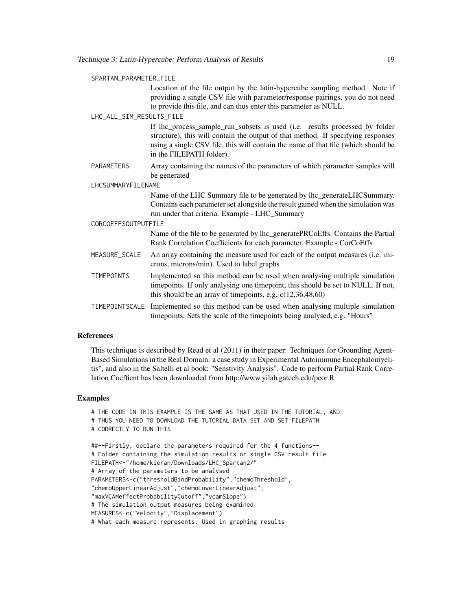#### SPARTAN\_PARAMETER\_FILE

Location of the file output by the latin-hypercube sampling method. Note if providing a single CSV file with parameter/response pairings, you do not need to provide this file, and can thus enter this parameter as NULL.

#### LHC\_ALL\_SIM\_RESULTS\_FILE

If lhc\_process\_sample\_run\_subsets is used (i.e. results processed by folder structure), this will contain the output of that method. If specifying responses using a single CSV file, this will contain the name of that file (which should be in the FILEPATH folder).

PARAMETERS Array containing the names of the parameters of which parameter samples will be generated

LHCSUMMARYFILENAME

Name of the LHC Summary file to be generated by lhc\_generateLHCSummary. Contains each parameter set alongside the result gained when the simulation was run under that criteria. Example - LHC\_Summary

#### CORCOEFFSOUTPUTFILE

Name of the file to be generated by lhc\_generatePRCoEffs. Contains the Partial Rank Correlation Coefficients for each parameter. Example - CorCoEffs

- MEASURE\_SCALE An array containing the measure used for each of the output measures (i.e. microns, microns/min). Used to label graphs
- TIMEPOINTS Implemented so this method can be used when analysing multiple simulation timepoints. If only analysing one timepoint, this should be set to NULL. If not, this should be an array of timepoints, e.g. c(12,36,48,60)
- TIMEPOINTSCALE Implemented so this method can be used when analysing multiple simulation timepoints. Sets the scale of the timepoints being analysed, e.g. "Hours"

#### References

This technique is described by Read et al (2011) in their paper: Techniques for Grounding Agent-Based Simulations in the Real Domain: a case study in Experimental Autoimmune Encephalomyelitis", and also in the Saltelli et al book: "Senstivity Analysis". Code to perform Partial Rank Correlation Coeffient has been downloaded from http://www.yilab.gatech.edu/pcor.R

#### Examples

```
# THE CODE IN THIS EXAMPLE IS THE SAME AS THAT USED IN THE TUTORIAL, AND
# THUS YOU NEED TO DOWNLOAD THE TUTORIAL DATA SET AND SET FILEPATH
# CORRECTLY TO RUN THIS
##--Firstly, declare the parameters required for the 4 functions--
# Folder containing the simulation results or single CSV result file
FILEPATH<-"/home/kieran/Downloads/LHC_Spartan2/"
# Array of the parameters to be analysed
PARAMETERS<-c("thresholdBindProbability","chemoThreshold",
"chemoUpperLinearAdjust","chemoLowerLinearAdjust",
"maxVCAMeffectProbabilityCutoff","vcamSlope")
# The simulation output measures being examined
MEASURES<-c("Velocity","Displacement")
# What each measure represents. Used in graphing results
```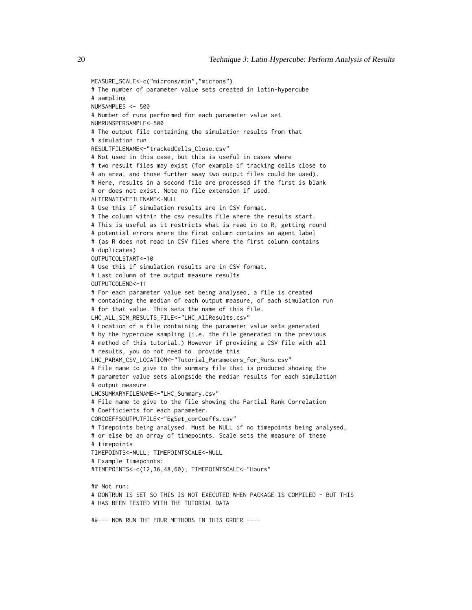```
MEASURE_SCALE<-c("microns/min","microns")
# The number of parameter value sets created in latin-hypercube
# sampling
NUMSAMPLES <- 500
# Number of runs performed for each parameter value set
NUMRUNSPERSAMPLE<-500
# The output file containing the simulation results from that
# simulation run
RESULTFILENAME<-"trackedCells_Close.csv"
# Not used in this case, but this is useful in cases where
# two result files may exist (for example if tracking cells close to
# an area, and those further away two output files could be used).
# Here, results in a second file are processed if the first is blank
# or does not exist. Note no file extension if used.
ALTERNATIVEFILENAME<-NULL
# Use this if simulation results are in CSV format.
# The column within the csv results file where the results start.
# This is useful as it restricts what is read in to R, getting round
# potential errors where the first column contains an agent label
# (as R does not read in CSV files where the first column contains
# duplicates)
OUTPUTCOLSTART<-10
# Use this if simulation results are in CSV format.
# Last column of the output measure results
OUTPUTCOLEND<-11
# For each parameter value set being analysed, a file is created
# containing the median of each output measure, of each simulation run
# for that value. This sets the name of this file.
LHC_ALL_SIM_RESULTS_FILE<-"LHC_AllResults.csv"
# Location of a file containing the parameter value sets generated
# by the hypercube sampling (i.e. the file generated in the previous
# method of this tutorial.) However if providing a CSV file with all
# results, you do not need to provide this
LHC_PARAM_CSV_LOCATION<-"Tutorial_Parameters_for_Runs.csv"
# File name to give to the summary file that is produced showing the
# parameter value sets alongside the median results for each simulation
# output measure.
LHCSUMMARYFILENAME<-"LHC_Summary.csv"
# File name to give to the file showing the Partial Rank Correlation
# Coefficients for each parameter.
CORCOEFFSOUTPUTFILE<-"EgSet_corCoeffs.csv"
# Timepoints being analysed. Must be NULL if no timepoints being analysed,
# or else be an array of timepoints. Scale sets the measure of these
# timepoints
TIMEPOINTS<-NULL; TIMEPOINTSCALE<-NULL
# Example Timepoints:
#TIMEPOINTS<-c(12,36,48,60); TIMEPOINTSCALE<-"Hours"
## Not run:
# DONTRUN IS SET SO THIS IS NOT EXECUTED WHEN PACKAGE IS COMPILED - BUT THIS
# HAS BEEN TESTED WITH THE TUTORIAL DATA
##--- NOW RUN THE FOUR METHODS IN THIS ORDER ----
```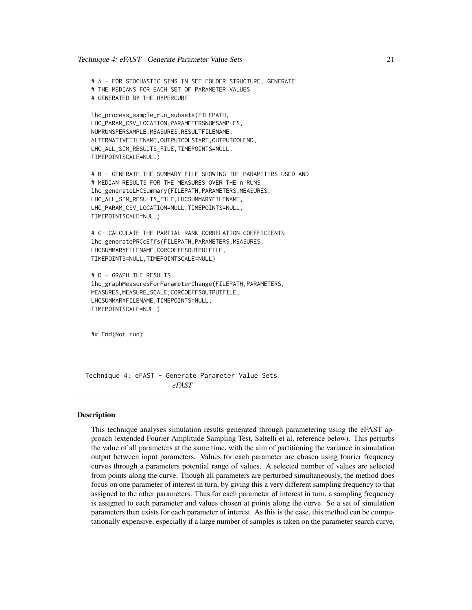<span id="page-20-0"></span># A - FOR STOCHASTIC SIMS IN SET FOLDER STRUCTURE, GENERATE # THE MEDIANS FOR EACH SET OF PARAMETER VALUES # GENERATED BY THE HYPERCUBE

```
lhc_process_sample_run_subsets(FILEPATH,
LHC_PARAM_CSV_LOCATION,PARAMETERSNUMSAMPLES,
NUMRUNSPERSAMPLE,MEASURES,RESULTFILENAME,
ALTERNATIVEFILENAME,OUTPUTCOLSTART,OUTPUTCOLEND,
LHC_ALL_SIM_RESULTS_FILE,TIMEPOINTS=NULL,
TIMEPOINTSCALE=NULL)
```
# B - GENERATE THE SUMMARY FILE SHOWING THE PARAMETERS USED AND # MEDIAN RESULTS FOR THE MEASURES OVER THE n RUNS lhc\_generateLHCSummary(FILEPATH,PARAMETERS,MEASURES, LHC\_ALL\_SIM\_RESULTS\_FILE,LHCSUMMARYFILENAME, LHC\_PARAM\_CSV\_LOCATION=NULL,TIMEPOINTS=NULL, TIMEPOINTSCALE=NULL)

# C- CALCULATE THE PARTIAL RANK CORRELATION COEFFICIENTS lhc\_generatePRCoEffs(FILEPATH,PARAMETERS,MEASURES, LHCSUMMARYFILENAME,CORCOEFFSOUTPUTFILE, TIMEPOINTS=NULL,TIMEPOINTSCALE=NULL)

```
# D - GRAPH THE RESULTS
lhc_graphMeasuresForParameterChange(FILEPATH,PARAMETERS,
MEASURES,MEASURE_SCALE,CORCOEFFSOUTPUTFILE,
LHCSUMMARYFILENAME,TIMEPOINTS=NULL,
TIMEPOINTSCALE=NULL)
```
## End(Not run)

Technique 4: eFAST - Generate Parameter Value Sets *eFAST*

## **Description**

This technique analyses simulation results generated through parametering using the eFAST approach (extended Fourier Amplitude Sampling Test, Saltelli et al, reference below). This perturbs the value of all parameters at the same time, with the aim of partitioning the variance in simulation output between input parameters. Values for each parameter are chosen using fourier frequency curves through a parameters potential range of values. A selected number of values are selected from points along the curve. Though all parameters are perturbed simultaneously, the method does focus on one parameter of interest in turn, by giving this a very different sampling frequency to that assigned to the other parameters. Thus for each parameter of interest in turn, a sampling frequency is assigned to each parameter and values chosen at points along the curve. So a set of simulation parameters then exists for each parameter of interest. As this is the case, this method can be computationally expensive, especially if a large number of samples is taken on the parameter search curve,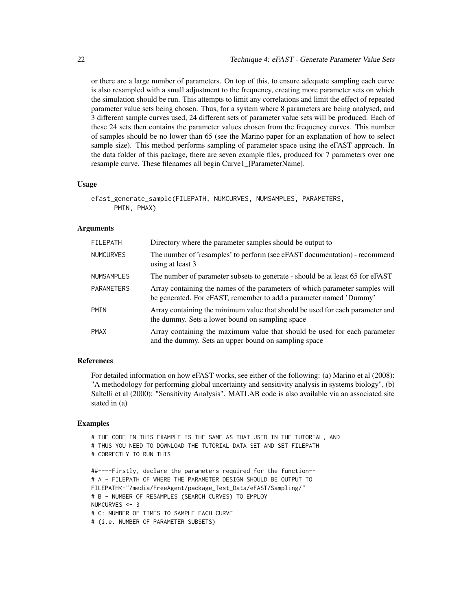or there are a large number of parameters. On top of this, to ensure adequate sampling each curve is also resampled with a small adjustment to the frequency, creating more parameter sets on which the simulation should be run. This attempts to limit any correlations and limit the effect of repeated parameter value sets being chosen. Thus, for a system where 8 parameters are being analysed, and 3 different sample curves used, 24 different sets of parameter value sets will be produced. Each of these 24 sets then contains the parameter values chosen from the frequency curves. This number of samples should be no lower than 65 (see the Marino paper for an explanation of how to select sample size). This method performs sampling of parameter space using the eFAST approach. In the data folder of this package, there are seven example files, produced for 7 parameters over one resample curve. These filenames all begin Curve1\_[ParameterName].

#### Usage

```
efast_generate_sample(FILEPATH, NUMCURVES, NUMSAMPLES, PARAMETERS,
     PMIN, PMAX)
```
## Arguments

| <b>FILEPATH</b>   | Directory where the parameter samples should be output to                                                                                          |
|-------------------|----------------------------------------------------------------------------------------------------------------------------------------------------|
| <b>NUMCURVES</b>  | The number of 'resamples' to perform (see eFAST documentation) - recommend<br>using at least 3                                                     |
| <b>NUMSAMPLES</b> | The number of parameter subsets to generate - should be at least 65 for eFAST                                                                      |
| <b>PARAMETERS</b> | Array containing the names of the parameters of which parameter samples will<br>be generated. For eFAST, remember to add a parameter named 'Dummy' |
| <b>PMIN</b>       | Array containing the minimum value that should be used for each parameter and<br>the dummy. Sets a lower bound on sampling space                   |
| <b>PMAX</b>       | Array containing the maximum value that should be used for each parameter<br>and the dummy. Sets an upper bound on sampling space                  |

## References

For detailed information on how eFAST works, see either of the following: (a) Marino et al (2008): "A methodology for performing global uncertainty and sensitivity analysis in systems biology", (b) Saltelli et al (2000): "Sensitivity Analysis". MATLAB code is also available via an associated site stated in (a)

## Examples

```
# THE CODE IN THIS EXAMPLE IS THE SAME AS THAT USED IN THE TUTORIAL, AND
# THUS YOU NEED TO DOWNLOAD THE TUTORIAL DATA SET AND SET FILEPATH
# CORRECTLY TO RUN THIS
##----Firstly, declare the parameters required for the function--
# A - FILEPATH OF WHERE THE PARAMETER DESIGN SHOULD BE OUTPUT TO
FILEPATH<-"/media/FreeAgent/package_Test_Data/eFAST/Sampling/"
# B - NUMBER OF RESAMPLES (SEARCH CURVES) TO EMPLOY
NUMCURVES <- 3
# C: NUMBER OF TIMES TO SAMPLE EACH CURVE
# (i.e. NUMBER OF PARAMETER SUBSETS)
```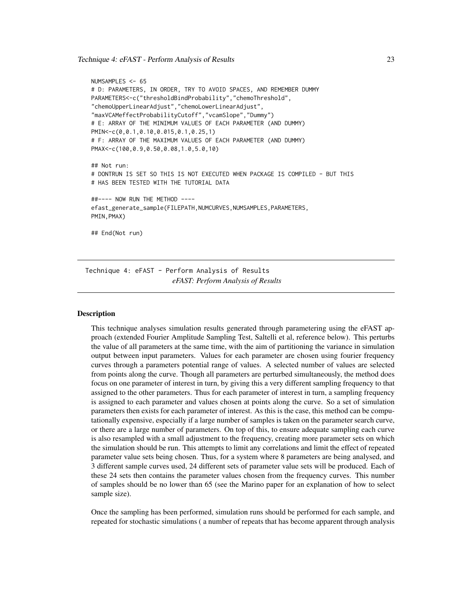<span id="page-22-0"></span>Technique 4: eFAST - Perform Analysis of Results 23

```
NUMSAMPLES <- 65
# D: PARAMETERS, IN ORDER, TRY TO AVOID SPACES, AND REMEMBER DUMMY
PARAMETERS<-c("thresholdBindProbability","chemoThreshold",
"chemoUpperLinearAdjust","chemoLowerLinearAdjust",
"maxVCAMeffectProbabilityCutoff","vcamSlope","Dummy")
# E: ARRAY OF THE MINIMUM VALUES OF EACH PARAMETER (AND DUMMY)
PMIN<-c(0,0.1,0.10,0.015,0.1,0.25,1)
# F: ARRAY OF THE MAXIMUM VALUES OF EACH PARAMETER (AND DUMMY)
PMAX<-c(100,0.9,0.50,0.08,1.0,5.0,10)
## Not run:
# DONTRUN IS SET SO THIS IS NOT EXECUTED WHEN PACKAGE IS COMPILED - BUT THIS
# HAS BEEN TESTED WITH THE TUTORIAL DATA
##---- NOW RUN THE METHOD ----
efast_generate_sample(FILEPATH,NUMCURVES,NUMSAMPLES,PARAMETERS,
PMIN,PMAX)
## End(Not run)
```
Technique 4: eFAST - Perform Analysis of Results *eFAST: Perform Analysis of Results*

## **Description**

This technique analyses simulation results generated through parametering using the eFAST approach (extended Fourier Amplitude Sampling Test, Saltelli et al, reference below). This perturbs the value of all parameters at the same time, with the aim of partitioning the variance in simulation output between input parameters. Values for each parameter are chosen using fourier frequency curves through a parameters potential range of values. A selected number of values are selected from points along the curve. Though all parameters are perturbed simultaneously, the method does focus on one parameter of interest in turn, by giving this a very different sampling frequency to that assigned to the other parameters. Thus for each parameter of interest in turn, a sampling frequency is assigned to each parameter and values chosen at points along the curve. So a set of simulation parameters then exists for each parameter of interest. As this is the case, this method can be computationally expensive, especially if a large number of samples is taken on the parameter search curve, or there are a large number of parameters. On top of this, to ensure adequate sampling each curve is also resampled with a small adjustment to the frequency, creating more parameter sets on which the simulation should be run. This attempts to limit any correlations and limit the effect of repeated parameter value sets being chosen. Thus, for a system where 8 parameters are being analysed, and 3 different sample curves used, 24 different sets of parameter value sets will be produced. Each of these 24 sets then contains the parameter values chosen from the frequency curves. This number of samples should be no lower than 65 (see the Marino paper for an explanation of how to select sample size).

Once the sampling has been performed, simulation runs should be performed for each sample, and repeated for stochastic simulations ( a number of repeats that has become apparent through analysis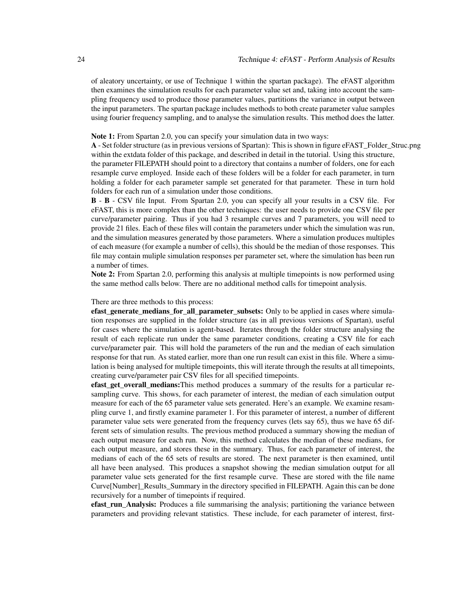of aleatory uncertainty, or use of Technique 1 within the spartan package). The eFAST algorithm then examines the simulation results for each parameter value set and, taking into account the sampling frequency used to produce those parameter values, partitions the variance in output between the input parameters. The spartan package includes methods to both create parameter value samples using fourier frequency sampling, and to analyse the simulation results. This method does the latter.

#### Note 1: From Spartan 2.0, you can specify your simulation data in two ways:

A - Set folder structure (as in previous versions of Spartan): This is shown in figure eFAST\_Folder\_Struc.png within the extdata folder of this package, and described in detail in the tutorial. Using this structure, the parameter FILEPATH should point to a directory that contains a number of folders, one for each resample curve employed. Inside each of these folders will be a folder for each parameter, in turn holding a folder for each parameter sample set generated for that parameter. These in turn hold folders for each run of a simulation under those conditions.

B - B - CSV file Input. From Spartan 2.0, you can specify all your results in a CSV file. For eFAST, this is more complex than the other techniques: the user needs to provide one CSV file per curve/parameter pairing. Thus if you had 3 resample curves and 7 parameters, you will need to provide 21 files. Each of these files will contain the parameters under which the simulation was run, and the simulation measures generated by those parameters. Where a simulation produces multiples of each measure (for example a number of cells), this should be the median of those responses. This file may contain muliple simulation responses per parameter set, where the simulation has been run a number of times.

Note 2: From Spartan 2.0, performing this analysis at multiple timepoints is now performed using the same method calls below. There are no additional method calls for timepoint analysis.

#### There are three methods to this process:

efast generate medians for all parameter subsets: Only to be applied in cases where simulation responses are supplied in the folder structure (as in all previous versions of Spartan), useful for cases where the simulation is agent-based. Iterates through the folder structure analysing the result of each replicate run under the same parameter conditions, creating a CSV file for each curve/parameter pair. This will hold the parameters of the run and the median of each simulation response for that run. As stated earlier, more than one run result can exist in this file. Where a simulation is being analysed for multiple timepoints, this will iterate through the results at all timepoints, creating curve/parameter pair CSV files for all specified timepoints.

efast\_get\_overall\_medians:This method produces a summary of the results for a particular resampling curve. This shows, for each parameter of interest, the median of each simulation output measure for each of the 65 parameter value sets generated. Here's an example. We examine resampling curve 1, and firstly examine parameter 1. For this parameter of interest, a number of different parameter value sets were generated from the frequency curves (lets say 65), thus we have 65 different sets of simulation results. The previous method produced a summary showing the median of each output measure for each run. Now, this method calculates the median of these medians, for each output measure, and stores these in the summary. Thus, for each parameter of interest, the medians of each of the 65 sets of results are stored. The next parameter is then examined, until all have been analysed. This produces a snapshot showing the median simulation output for all parameter value sets generated for the first resample curve. These are stored with the file name Curve[Number]\_Results\_Summary in the directory specified in FILEPATH. Again this can be done recursively for a number of timepoints if required.

efast\_run\_Analysis: Produces a file summarising the analysis; partitioning the variance between parameters and providing relevant statistics. These include, for each parameter of interest, first-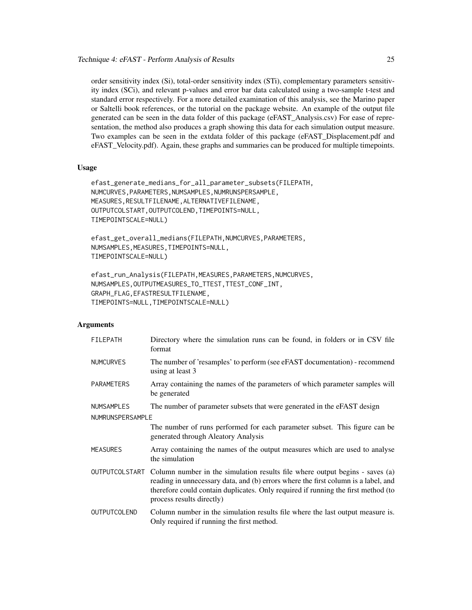order sensitivity index (Si), total-order sensitivity index (STi), complementary parameters sensitivity index (SCi), and relevant p-values and error bar data calculated using a two-sample t-test and standard error respectively. For a more detailed examination of this analysis, see the Marino paper or Saltelli book references, or the tutorial on the package website. An example of the output file generated can be seen in the data folder of this package (eFAST\_Analysis.csv) For ease of representation, the method also produces a graph showing this data for each simulation output measure. Two examples can be seen in the extdata folder of this package (eFAST\_Displacement.pdf and eFAST\_Velocity.pdf). Again, these graphs and summaries can be produced for multiple timepoints.

#### Usage

```
efast_generate_medians_for_all_parameter_subsets(FILEPATH,
NUMCURVES, PARAMETERS, NUMSAMPLES, NUMRUNSPERSAMPLE,
MEASURES,RESULTFILENAME,ALTERNATIVEFILENAME,
OUTPUTCOLSTART,OUTPUTCOLEND,TIMEPOINTS=NULL,
TIMEPOINTSCALE=NULL)
```
efast\_get\_overall\_medians(FILEPATH,NUMCURVES,PARAMETERS, NUMSAMPLES,MEASURES,TIMEPOINTS=NULL, TIMEPOINTSCALE=NULL)

efast\_run\_Analysis(FILEPATH,MEASURES,PARAMETERS,NUMCURVES, NUMSAMPLES,OUTPUTMEASURES\_TO\_TTEST,TTEST\_CONF\_INT, GRAPH\_FLAG,EFASTRESULTFILENAME, TIMEPOINTS=NULL,TIMEPOINTSCALE=NULL)

## Arguments

| <b>FILEPATH</b>   | Directory where the simulation runs can be found, in folders or in CSV file<br>format                                                                                                                                                                                                               |
|-------------------|-----------------------------------------------------------------------------------------------------------------------------------------------------------------------------------------------------------------------------------------------------------------------------------------------------|
| <b>NUMCURVES</b>  | The number of 'resamples' to perform (see eFAST documentation) - recommend<br>using at least 3                                                                                                                                                                                                      |
| <b>PARAMETERS</b> | Array containing the names of the parameters of which parameter samples will<br>be generated                                                                                                                                                                                                        |
| <b>NUMSAMPLES</b> | The number of parameter subsets that were generated in the eFAST design                                                                                                                                                                                                                             |
| NUMRUNSPERSAMPLE  |                                                                                                                                                                                                                                                                                                     |
|                   | The number of runs performed for each parameter subset. This figure can be<br>generated through Aleatory Analysis                                                                                                                                                                                   |
| <b>MEASURES</b>   | Array containing the names of the output measures which are used to analyse<br>the simulation                                                                                                                                                                                                       |
|                   | OUTPUTCOLSTART Column number in the simulation results file where output begins - saves (a)<br>reading in unnecessary data, and (b) errors where the first column is a label, and<br>therefore could contain duplicates. Only required if running the first method (to<br>process results directly) |
| OUTPUTCOLEND      | Column number in the simulation results file where the last output measure is.<br>Only required if running the first method.                                                                                                                                                                        |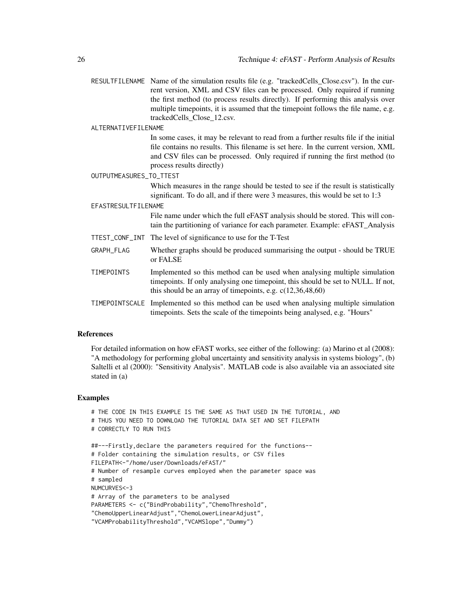RESULTFILENAME Name of the simulation results file (e.g. "trackedCells\_Close.csv"). In the current version, XML and CSV files can be processed. Only required if running the first method (to process results directly). If performing this analysis over multiple timepoints, it is assumed that the timepoint follows the file name, e.g. trackedCells\_Close\_12.csv.

#### ALTERNATIVEFILENAME

In some cases, it may be relevant to read from a further results file if the initial file contains no results. This filename is set here. In the current version, XML and CSV files can be processed. Only required if running the first method (to process results directly)

#### OUTPUTMEASURES\_TO\_TTEST

Which measures in the range should be tested to see if the result is statistically significant. To do all, and if there were 3 measures, this would be set to 1:3

#### EFASTRESULTFILENAME

File name under which the full eFAST analysis should be stored. This will contain the partitioning of variance for each parameter. Example: eFAST\_Analysis

- TTEST\_CONF\_INT The level of significance to use for the T-Test
- GRAPH\_FLAG Whether graphs should be produced summarising the output should be TRUE or FALSE
- TIMEPOINTS Implemented so this method can be used when analysing multiple simulation timepoints. If only analysing one timepoint, this should be set to NULL. If not, this should be an array of timepoints, e.g. c(12,36,48,60)
- TIMEPOINTSCALE Implemented so this method can be used when analysing multiple simulation timepoints. Sets the scale of the timepoints being analysed, e.g. "Hours"

#### References

For detailed information on how eFAST works, see either of the following: (a) Marino et al (2008): "A methodology for performing global uncertainty and sensitivity analysis in systems biology", (b) Saltelli et al (2000): "Sensitivity Analysis". MATLAB code is also available via an associated site stated in (a)

#### Examples

```
# THE CODE IN THIS EXAMPLE IS THE SAME AS THAT USED IN THE TUTORIAL, AND
# THUS YOU NEED TO DOWNLOAD THE TUTORIAL DATA SET AND SET FILEPATH
# CORRECTLY TO RUN THIS
##---Firstly,declare the parameters required for the functions--
# Folder containing the simulation results, or CSV files
FILEPATH<-"/home/user/Downloads/eFAST/"
# Number of resample curves employed when the parameter space was
# sampled
NUMCURVES<-3
# Array of the parameters to be analysed
PARAMETERS <- c("BindProbability","ChemoThreshold",
"ChemoUpperLinearAdjust","ChemoLowerLinearAdjust",
"VCAMProbabilityThreshold","VCAMSlope","Dummy")
```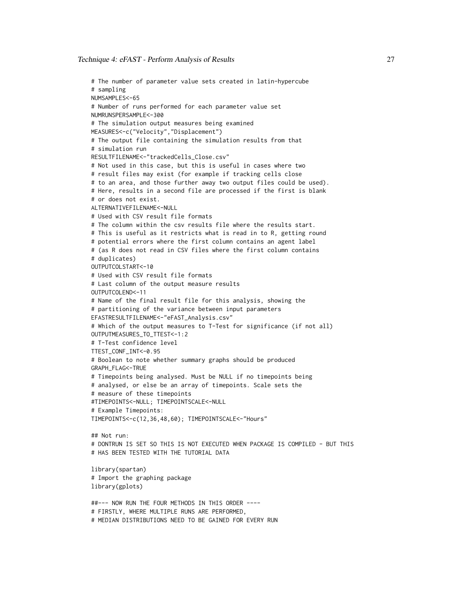```
# The number of parameter value sets created in latin-hypercube
# sampling
NUMSAMPLES<-65
# Number of runs performed for each parameter value set
NUMRUNSPERSAMPLE<-300
# The simulation output measures being examined
MEASURES<-c("Velocity","Displacement")
# The output file containing the simulation results from that
# simulation run
RESULTFILENAME<-"trackedCells_Close.csv"
# Not used in this case, but this is useful in cases where two
# result files may exist (for example if tracking cells close
# to an area, and those further away two output files could be used).
# Here, results in a second file are processed if the first is blank
# or does not exist.
ALTERNATIVEFILENAME<-NULL
# Used with CSV result file formats
# The column within the csv results file where the results start.
# This is useful as it restricts what is read in to R, getting round
# potential errors where the first column contains an agent label
# (as R does not read in CSV files where the first column contains
# duplicates)
OUTPUTCOLSTART<-10
# Used with CSV result file formats
# Last column of the output measure results
OUTPUTCOLEND<-11
# Name of the final result file for this analysis, showing the
# partitioning of the variance between input parameters
EFASTRESULTFILENAME<-"eFAST_Analysis.csv"
# Which of the output measures to T-Test for significance (if not all)
OUTPUTMEASURES_TO_TTEST<-1:2
# T-Test confidence level
TTEST_CONF_INT<-0.95
# Boolean to note whether summary graphs should be produced
GRAPH_FLAG<-TRUE
# Timepoints being analysed. Must be NULL if no timepoints being
# analysed, or else be an array of timepoints. Scale sets the
# measure of these timepoints
#TIMEPOINTS<-NULL; TIMEPOINTSCALE<-NULL
# Example Timepoints:
TIMEPOINTS<-c(12,36,48,60); TIMEPOINTSCALE<-"Hours"
## Not run:
# DONTRUN IS SET SO THIS IS NOT EXECUTED WHEN PACKAGE IS COMPILED - BUT THIS
# HAS BEEN TESTED WITH THE TUTORIAL DATA
library(spartan)
# Import the graphing package
library(gplots)
```

```
##--- NOW RUN THE FOUR METHODS IN THIS ORDER ----
# FIRSTLY, WHERE MULTIPLE RUNS ARE PERFORMED,
# MEDIAN DISTRIBUTIONS NEED TO BE GAINED FOR EVERY RUN
```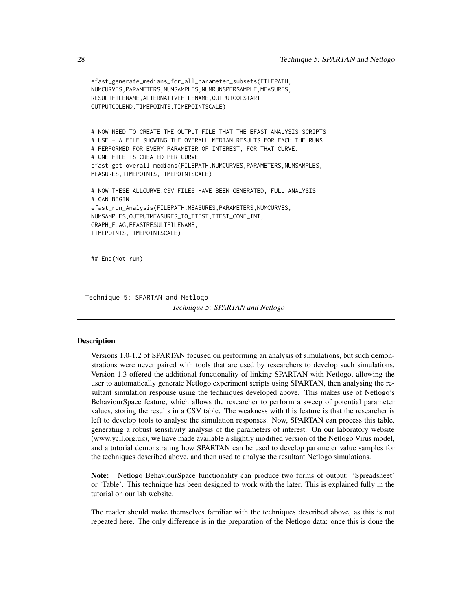```
efast_generate_medians_for_all_parameter_subsets(FILEPATH,
NUMCURVES,PARAMETERS,NUMSAMPLES,NUMRUNSPERSAMPLE,MEASURES,
RESULTFILENAME,ALTERNATIVEFILENAME,OUTPUTCOLSTART,
OUTPUTCOLEND,TIMEPOINTS,TIMEPOINTSCALE)
# NOW NEED TO CREATE THE OUTPUT FILE THAT THE EFAST ANALYSIS SCRIPTS
# USE - A FILE SHOWING THE OVERALL MEDIAN RESULTS FOR EACH THE RUNS
# PERFORMED FOR EVERY PARAMETER OF INTEREST, FOR THAT CURVE.
# ONE FILE IS CREATED PER CURVE
efast_get_overall_medians(FILEPATH,NUMCURVES,PARAMETERS,NUMSAMPLES,
MEASURES,TIMEPOINTS,TIMEPOINTSCALE)
# NOW THESE ALLCURVE.CSV FILES HAVE BEEN GENERATED, FULL ANALYSIS
# CAN BEGIN
efast_run_Analysis(FILEPATH,MEASURES,PARAMETERS,NUMCURVES,
NUMSAMPLES,OUTPUTMEASURES_TO_TTEST,TTEST_CONF_INT,
GRAPH_FLAG,EFASTRESULTFILENAME,
TIMEPOINTS,TIMEPOINTSCALE)
```
## End(Not run)

Technique 5: SPARTAN and Netlogo *Technique 5: SPARTAN and Netlogo*

#### **Description**

Versions 1.0-1.2 of SPARTAN focused on performing an analysis of simulations, but such demonstrations were never paired with tools that are used by researchers to develop such simulations. Version 1.3 offered the additional functionality of linking SPARTAN with Netlogo, allowing the user to automatically generate Netlogo experiment scripts using SPARTAN, then analysing the resultant simulation response using the techniques developed above. This makes use of Netlogo's BehaviourSpace feature, which allows the researcher to perform a sweep of potential parameter values, storing the results in a CSV table. The weakness with this feature is that the researcher is left to develop tools to analyse the simulation responses. Now, SPARTAN can process this table, generating a robust sensitivity analysis of the parameters of interest. On our laboratory website (www.ycil.org.uk), we have made available a slightly modified version of the Netlogo Virus model, and a tutorial demonstrating how SPARTAN can be used to develop parameter value samples for the techniques described above, and then used to analyse the resultant Netlogo simulations.

Note: Netlogo BehaviourSpace functionality can produce two forms of output: 'Spreadsheet' or 'Table'. This technique has been designed to work with the later. This is explained fully in the tutorial on our lab website.

The reader should make themselves familiar with the techniques described above, as this is not repeated here. The only difference is in the preparation of the Netlogo data: once this is done the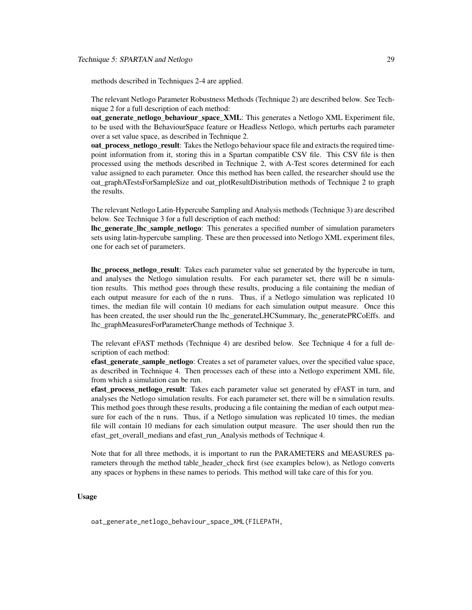methods described in Techniques 2-4 are applied.

The relevant Netlogo Parameter Robustness Methods (Technique 2) are described below. See Technique 2 for a full description of each method:

oat generate netlogo behaviour space XML: This generates a Netlogo XML Experiment file, to be used with the BehaviourSpace feature or Headless Netlogo, which perturbs each parameter over a set value space, as described in Technique 2.

oat process netlogo result: Takes the Netlogo behaviour space file and extracts the required timepoint information from it, storing this in a Spartan compatible CSV file. This CSV file is then processed using the methods described in Technique 2, with A-Test scores determined for each value assigned to each parameter. Once this method has been called, the researcher should use the oat\_graphATestsForSampleSize and oat\_plotResultDistribution methods of Technique 2 to graph the results.

The relevant Netlogo Latin-Hypercube Sampling and Analysis methods (Technique 3) are described below. See Technique 3 for a full description of each method:

lhc\_generate\_lhc\_sample\_netlogo: This generates a specified number of simulation parameters sets using latin-hypercube sampling. These are then processed into Netlogo XML experiment files, one for each set of parameters.

lhc\_process\_netlogo\_result: Takes each parameter value set generated by the hypercube in turn, and analyses the Netlogo simulation results. For each parameter set, there will be n simulation results. This method goes through these results, producing a file containing the median of each output measure for each of the n runs. Thus, if a Netlogo simulation was replicated 10 times, the median file will contain 10 medians for each simulation output measure. Once this has been created, the user should run the lhc\_generateLHCSummary, lhc\_generatePRCoEffs. and lhc\_graphMeasuresForParameterChange methods of Technique 3.

The relevant eFAST methods (Technique 4) are desribed below. See Technique 4 for a full description of each method:

efast generate sample netlogo: Creates a set of parameter values, over the specified value space, as described in Technique 4. Then processes each of these into a Netlogo experiment XML file, from which a simulation can be run.

efast\_process\_netlogo\_result: Takes each parameter value set generated by eFAST in turn, and analyses the Netlogo simulation results. For each parameter set, there will be n simulation results. This method goes through these results, producing a file containing the median of each output measure for each of the n runs. Thus, if a Netlogo simulation was replicated 10 times, the median file will contain 10 medians for each simulation output measure. The user should then run the efast get overall medians and efast run Analysis methods of Technique 4.

Note that for all three methods, it is important to run the PARAMETERS and MEASURES parameters through the method table header check first (see examples below), as Netlogo converts any spaces or hyphens in these names to periods. This method will take care of this for you.

## Usage

oat\_generate\_netlogo\_behaviour\_space\_XML(FILEPATH,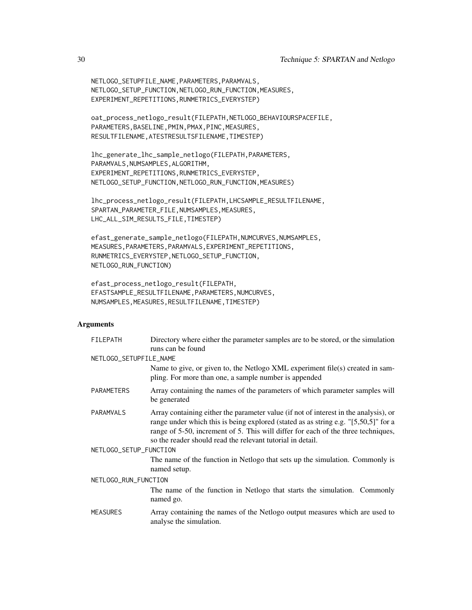```
NETLOGO_SETUPFILE_NAME,PARAMETERS,PARAMVALS,
NETLOGO_SETUP_FUNCTION,NETLOGO_RUN_FUNCTION,MEASURES,
EXPERIMENT_REPETITIONS,RUNMETRICS_EVERYSTEP)
```

```
oat_process_netlogo_result(FILEPATH,NETLOGO_BEHAVIOURSPACEFILE,
PARAMETERS,BASELINE,PMIN,PMAX,PINC,MEASURES,
RESULTFILENAME,ATESTRESULTSFILENAME,TIMESTEP)
```

```
lhc_generate_lhc_sample_netlogo(FILEPATH,PARAMETERS,
PARAMVALS, NUMSAMPLES, ALGORITHM,
EXPERIMENT_REPETITIONS,RUNMETRICS_EVERYSTEP,
NETLOGO_SETUP_FUNCTION,NETLOGO_RUN_FUNCTION,MEASURES)
```

```
lhc_process_netlogo_result(FILEPATH,LHCSAMPLE_RESULTFILENAME,
SPARTAN_PARAMETER_FILE, NUMSAMPLES, MEASURES,
LHC_ALL_SIM_RESULTS_FILE,TIMESTEP)
```

```
efast_generate_sample_netlogo(FILEPATH,NUMCURVES,NUMSAMPLES,
MEASURES,PARAMETERS,PARAMVALS,EXPERIMENT_REPETITIONS,
RUNMETRICS_EVERYSTEP,NETLOGO_SETUP_FUNCTION,
NETLOGO_RUN_FUNCTION)
```

```
efast_process_netlogo_result(FILEPATH,
EFASTSAMPLE_RESULTFILENAME,PARAMETERS,NUMCURVES,
NUMSAMPLES,MEASURES,RESULTFILENAME,TIMESTEP)
```
### Arguments

| FILEPATH               | Directory where either the parameter samples are to be stored, or the simulation<br>runs can be found                                                                                                                                                                                                                          |
|------------------------|--------------------------------------------------------------------------------------------------------------------------------------------------------------------------------------------------------------------------------------------------------------------------------------------------------------------------------|
| NETLOGO_SETUPFILE_NAME |                                                                                                                                                                                                                                                                                                                                |
|                        | Name to give, or given to, the Netlogo XML experiment file(s) created in sam-<br>pling. For more than one, a sample number is appended                                                                                                                                                                                         |
| <b>PARAMETERS</b>      | Array containing the names of the parameters of which parameter samples will<br>be generated                                                                                                                                                                                                                                   |
| <b>PARAMVALS</b>       | Array containing either the parameter value (if not of interest in the analysis), or<br>range under which this is being explored (stated as as string e.g. "[5,50,5]" for a<br>range of 5-50, increment of 5. This will differ for each of the three techniques,<br>so the reader should read the relevant tutorial in detail. |
| NETLOGO_SETUP_FUNCTION |                                                                                                                                                                                                                                                                                                                                |
|                        | The name of the function in Netlogo that sets up the simulation. Commonly is<br>named setup.                                                                                                                                                                                                                                   |
| NETLOGO_RUN_FUNCTION   |                                                                                                                                                                                                                                                                                                                                |
|                        | The name of the function in Netlogo that starts the simulation. Commonly<br>named go.                                                                                                                                                                                                                                          |
| <b>MEASURES</b>        | Array containing the names of the Netlogo output measures which are used to<br>analyse the simulation.                                                                                                                                                                                                                         |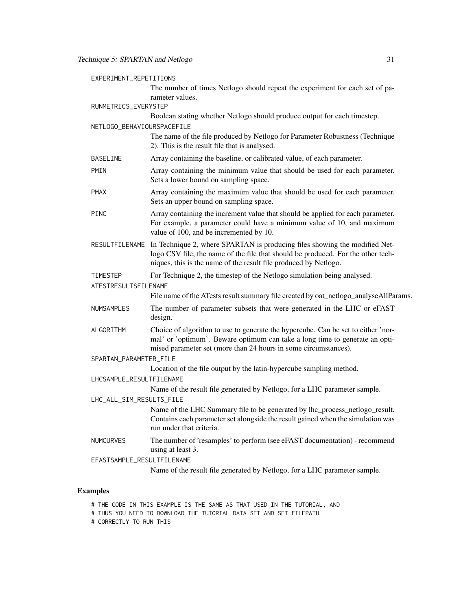| EXPERIMENT_REPETITIONS     |                                                                                                                                                                                                                                                   |  |  |
|----------------------------|---------------------------------------------------------------------------------------------------------------------------------------------------------------------------------------------------------------------------------------------------|--|--|
| RUNMETRICS_EVERYSTEP       | The number of times Netlogo should repeat the experiment for each set of pa-<br>rameter values.                                                                                                                                                   |  |  |
|                            | Boolean stating whether Netlogo should produce output for each timestep.                                                                                                                                                                          |  |  |
| NETLOGO BEHAVIOURSPACEFILE |                                                                                                                                                                                                                                                   |  |  |
|                            | The name of the file produced by Netlogo for Parameter Robustness (Technique<br>2). This is the result file that is analysed.                                                                                                                     |  |  |
| <b>BASELINE</b>            | Array containing the baseline, or calibrated value, of each parameter.                                                                                                                                                                            |  |  |
| <b>PMIN</b>                | Array containing the minimum value that should be used for each parameter.<br>Sets a lower bound on sampling space.                                                                                                                               |  |  |
| <b>PMAX</b>                | Array containing the maximum value that should be used for each parameter.<br>Sets an upper bound on sampling space.                                                                                                                              |  |  |
| <b>PINC</b>                | Array containing the increment value that should be applied for each parameter.<br>For example, a parameter could have a minimum value of 10, and maximum<br>value of 100, and be incremented by 10.                                              |  |  |
|                            | RESULTFILENAME In Technique 2, where SPARTAN is producing files showing the modified Net-<br>logo CSV file, the name of the file that should be produced. For the other tech-<br>niques, this is the name of the result file produced by Netlogo. |  |  |
| TIMESTEP                   | For Technique 2, the timestep of the Netlogo simulation being analysed.                                                                                                                                                                           |  |  |
| ATESTRESULTSFILENAME       |                                                                                                                                                                                                                                                   |  |  |
|                            | File name of the ATests result summary file created by oat_netlogo_analyseAllParams.                                                                                                                                                              |  |  |
| <b>NUMSAMPLES</b>          | The number of parameter subsets that were generated in the LHC or eFAST<br>design.                                                                                                                                                                |  |  |
| ALGORITHM                  | Choice of algorithm to use to generate the hypercube. Can be set to either 'nor-<br>mal' or 'optimum'. Beware optimum can take a long time to generate an opti-<br>mised parameter set (more than 24 hours in some circumstances).                |  |  |
| SPARTAN_PARAMETER_FILE     |                                                                                                                                                                                                                                                   |  |  |
|                            | Location of the file output by the latin-hypercube sampling method.                                                                                                                                                                               |  |  |
| LHCSAMPLE_RESULTFILENAME   |                                                                                                                                                                                                                                                   |  |  |
|                            | Name of the result file generated by Netlogo, for a LHC parameter sample.                                                                                                                                                                         |  |  |
| LHC_ALL_SIM_RESULTS_FILE   | Name of the LHC Summary file to be generated by lhc_process_netlogo_result.                                                                                                                                                                       |  |  |
|                            | Contains each parameter set alongside the result gained when the simulation was<br>run under that criteria.                                                                                                                                       |  |  |
| <b>NUMCURVES</b>           | The number of 'resamples' to perform (see eFAST documentation) - recommend<br>using at least 3.                                                                                                                                                   |  |  |
| EFASTSAMPLE_RESULTFILENAME |                                                                                                                                                                                                                                                   |  |  |
|                            | Name of the result file generated by Netlogo, for a LHC parameter sample.                                                                                                                                                                         |  |  |

## Examples

- # THE CODE IN THIS EXAMPLE IS THE SAME AS THAT USED IN THE TUTORIAL, AND
- # THUS YOU NEED TO DOWNLOAD THE TUTORIAL DATA SET AND SET FILEPATH
- # CORRECTLY TO RUN THIS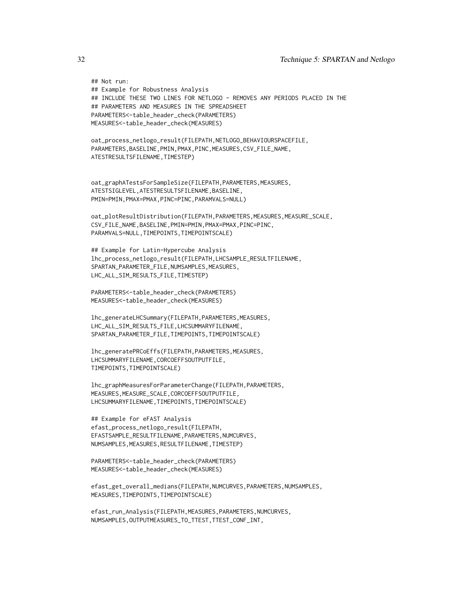```
## Not run:
## Example for Robustness Analysis
## INCLUDE THESE TWO LINES FOR NETLOGO - REMOVES ANY PERIODS PLACED IN THE
## PARAMETERS AND MEASURES IN THE SPREADSHEET
PARAMETERS<-table_header_check(PARAMETERS)
MEASURES<-table_header_check(MEASURES)
oat_process_netlogo_result(FILEPATH,NETLOGO_BEHAVIOURSPACEFILE,
PARAMETERS,BASELINE,PMIN,PMAX,PINC,MEASURES,CSV_FILE_NAME,
ATESTRESULTSFILENAME,TIMESTEP)
oat_graphATestsForSampleSize(FILEPATH,PARAMETERS,MEASURES,
ATESTSIGLEVEL,ATESTRESULTSFILENAME,BASELINE,
PMIN=PMIN,PMAX=PMAX,PINC=PINC,PARAMVALS=NULL)
oat_plotResultDistribution(FILEPATH,PARAMETERS,MEASURES,MEASURE_SCALE,
CSV_FILE_NAME,BASELINE,PMIN=PMIN,PMAX=PMAX,PINC=PINC,
PARAMVALS=NULL,TIMEPOINTS,TIMEPOINTSCALE)
## Example for Latin-Hypercube Analysis
lhc_process_netlogo_result(FILEPATH,LHCSAMPLE_RESULTFILENAME,
SPARTAN_PARAMETER_FILE, NUMSAMPLES, MEASURES,
LHC_ALL_SIM_RESULTS_FILE,TIMESTEP)
PARAMETERS<-table_header_check(PARAMETERS)
MEASURES<-table_header_check(MEASURES)
lhc_generateLHCSummary(FILEPATH,PARAMETERS,MEASURES,
LHC_ALL_SIM_RESULTS_FILE,LHCSUMMARYFILENAME,
SPARTAN_PARAMETER_FILE,TIMEPOINTS,TIMEPOINTSCALE)
lhc_generatePRCoEffs(FILEPATH,PARAMETERS,MEASURES,
LHCSUMMARYFILENAME,CORCOEFFSOUTPUTFILE,
TIMEPOINTS,TIMEPOINTSCALE)
lhc_graphMeasuresForParameterChange(FILEPATH,PARAMETERS,
MEASURES,MEASURE_SCALE,CORCOEFFSOUTPUTFILE,
LHCSUMMARYFILENAME,TIMEPOINTS,TIMEPOINTSCALE)
## Example for eFAST Analysis
efast_process_netlogo_result(FILEPATH,
EFASTSAMPLE_RESULTFILENAME,PARAMETERS,NUMCURVES,
NUMSAMPLES,MEASURES,RESULTFILENAME,TIMESTEP)
PARAMETERS<-table_header_check(PARAMETERS)
MEASURES<-table_header_check(MEASURES)
efast_get_overall_medians(FILEPATH,NUMCURVES,PARAMETERS,NUMSAMPLES,
MEASURES,TIMEPOINTS,TIMEPOINTSCALE)
```

```
efast_run_Analysis(FILEPATH,MEASURES,PARAMETERS,NUMCURVES,
NUMSAMPLES,OUTPUTMEASURES_TO_TTEST,TTEST_CONF_INT,
```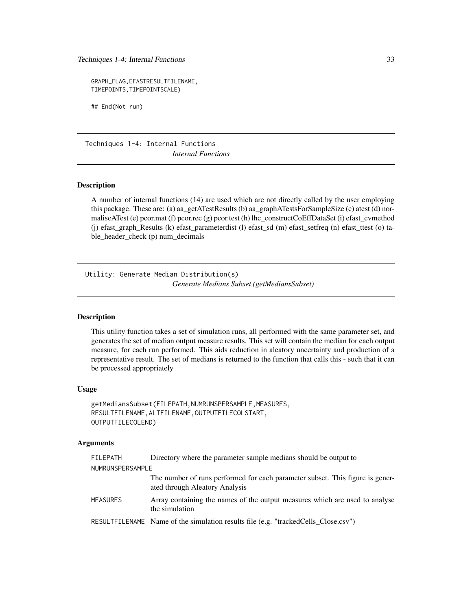<span id="page-32-0"></span>Techniques 1-4: Internal Functions 33

GRAPH\_FLAG,EFASTRESULTFILENAME, TIMEPOINTS,TIMEPOINTSCALE)

## End(Not run)

Techniques 1-4: Internal Functions *Internal Functions*

#### Description

A number of internal functions (14) are used which are not directly called by the user employing this package. These are: (a) aa\_getATestResults (b) aa\_graphATestsForSampleSize (c) atest (d) normaliseATest (e) pcor.mat (f) pcor.rec (g) pcor.test (h) lhc\_constructCoEffDataSet (i) efast\_cvmethod (j) efast\_graph\_Results (k) efast\_parameterdist (l) efast\_sd (m) efast\_setfreq (n) efast\_ttest (o) table\_header\_check (p) num\_decimals

Utility: Generate Median Distribution(s) *Generate Medians Subset (getMediansSubset)*

## **Description**

This utility function takes a set of simulation runs, all performed with the same parameter set, and generates the set of median output measure results. This set will contain the median for each output measure, for each run performed. This aids reduction in aleatory uncertainty and production of a representative result. The set of medians is returned to the function that calls this - such that it can be processed appropriately

## Usage

```
getMediansSubset(FILEPATH,NUMRUNSPERSAMPLE,MEASURES,
RESULTFILENAME,ALTFILENAME,OUTPUTFILECOLSTART,
OUTPUTFILECOLEND)
```
#### Arguments

| FILEPATH         | Directory where the parameter sample medians should be output to                                                |  |  |  |
|------------------|-----------------------------------------------------------------------------------------------------------------|--|--|--|
| NUMRUNSPERSAMPLE |                                                                                                                 |  |  |  |
|                  | The number of runs performed for each parameter subset. This figure is gener-<br>ated through Aleatory Analysis |  |  |  |
| MEASURES         | Array containing the names of the output measures which are used to analyse<br>the simulation                   |  |  |  |
|                  | RESULTFILENAME Name of the simulation results file (e.g. "trackedCells_Close.csv")                              |  |  |  |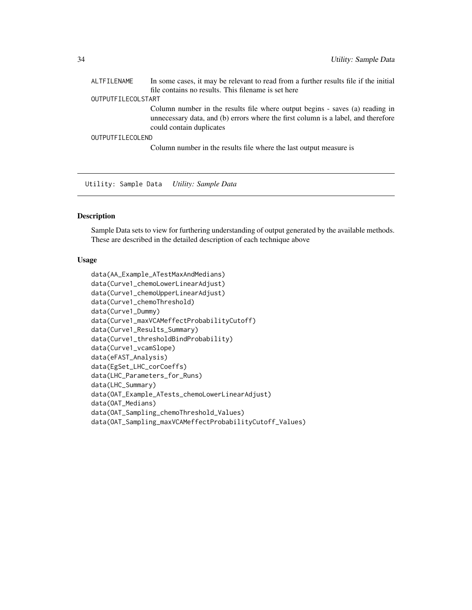<span id="page-33-0"></span>

| ALTFILENAME        | In some cases, it may be relevant to read from a further results file if the initial                                                                                                          |
|--------------------|-----------------------------------------------------------------------------------------------------------------------------------------------------------------------------------------------|
|                    | file contains no results. This filename is set here                                                                                                                                           |
| OUTPUTFILECOLSTART |                                                                                                                                                                                               |
|                    | Column number in the results file where output begins - saves (a) reading in<br>unnecessary data, and (b) errors where the first column is a label, and therefore<br>could contain duplicates |
| OUTPUTFILECOLEND   |                                                                                                                                                                                               |
|                    | Column number in the results file where the last output measure is                                                                                                                            |

Utility: Sample Data *Utility: Sample Data*

## Description

Sample Data sets to view for furthering understanding of output generated by the available methods. These are described in the detailed description of each technique above

#### Usage

```
data(AA_Example_ATestMaxAndMedians)
data(Curve1_chemoLowerLinearAdjust)
data(Curve1_chemoUpperLinearAdjust)
data(Curve1_chemoThreshold)
data(Curve1_Dummy)
data(Curve1_maxVCAMeffectProbabilityCutoff)
data(Curve1_Results_Summary)
data(Curve1_thresholdBindProbability)
data(Curve1_vcamSlope)
data(eFAST_Analysis)
data(EgSet_LHC_corCoeffs)
data(LHC_Parameters_for_Runs)
data(LHC_Summary)
data(OAT_Example_ATests_chemoLowerLinearAdjust)
data(OAT_Medians)
data(OAT_Sampling_chemoThreshold_Values)
data(OAT_Sampling_maxVCAMeffectProbabilityCutoff_Values)
```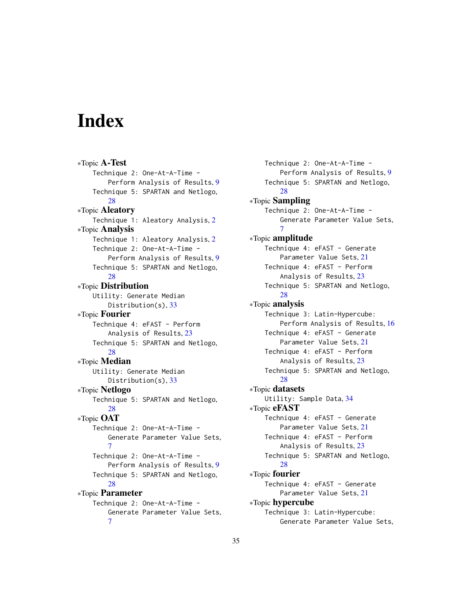# <span id="page-34-0"></span>Index

∗Topic A-Test Technique 2: One-At-A-Time - Perform Analysis of Results, [9](#page-8-0) Technique 5: SPARTAN and Netlogo, [28](#page-27-0) ∗Topic Aleatory Technique 1: Aleatory Analysis, [2](#page-1-0) ∗Topic Analysis Technique 1: Aleatory Analysis, [2](#page-1-0) Technique 2: One-At-A-Time - Perform Analysis of Results, [9](#page-8-0) Technique 5: SPARTAN and Netlogo, [28](#page-27-0) ∗Topic Distribution Utility: Generate Median Distribution(s), [33](#page-32-0) ∗Topic Fourier Technique 4: eFAST - Perform Analysis of Results, [23](#page-22-0) Technique 5: SPARTAN and Netlogo, [28](#page-27-0) ∗Topic Median Utility: Generate Median Distribution(s), [33](#page-32-0) ∗Topic Netlogo Technique 5: SPARTAN and Netlogo, [28](#page-27-0) ∗Topic OAT Technique 2: One-At-A-Time - Generate Parameter Value Sets, [7](#page-6-0) Technique 2: One-At-A-Time - Perform Analysis of Results, [9](#page-8-0) Technique 5: SPARTAN and Netlogo, [28](#page-27-0) ∗Topic Parameter Technique 2: One-At-A-Time - Generate Parameter Value Sets, [7](#page-6-0)

Technique 2: One-At-A-Time - Perform Analysis of Results, [9](#page-8-0) Technique 5: SPARTAN and Netlogo, [28](#page-27-0) ∗Topic Sampling Technique 2: One-At-A-Time - Generate Parameter Value Sets, [7](#page-6-0) ∗Topic amplitude Technique 4: eFAST - Generate Parameter Value Sets, [21](#page-20-0) Technique 4: eFAST - Perform Analysis of Results, [23](#page-22-0) Technique 5: SPARTAN and Netlogo, [28](#page-27-0) ∗Topic analysis Technique 3: Latin-Hypercube: Perform Analysis of Results, [16](#page-15-0) Technique 4: eFAST - Generate Parameter Value Sets, [21](#page-20-0) Technique 4: eFAST - Perform Analysis of Results, [23](#page-22-0) Technique 5: SPARTAN and Netlogo, [28](#page-27-0) ∗Topic datasets Utility: Sample Data, [34](#page-33-0) ∗Topic eFAST Technique 4: eFAST - Generate Parameter Value Sets, [21](#page-20-0) Technique 4: eFAST - Perform Analysis of Results, [23](#page-22-0) Technique 5: SPARTAN and Netlogo, [28](#page-27-0) ∗Topic fourier Technique 4: eFAST - Generate Parameter Value Sets, [21](#page-20-0) ∗Topic hypercube Technique 3: Latin-Hypercube: Generate Parameter Value Sets,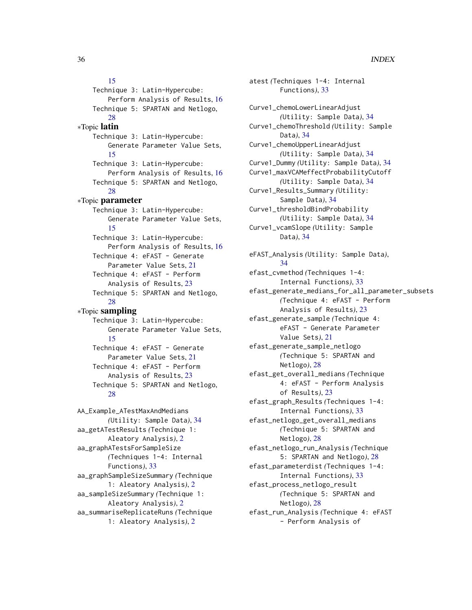## [15](#page-14-0)

Technique 3: Latin-Hypercube: Perform Analysis of Results, [16](#page-15-0) Technique 5: SPARTAN and Netlogo, [28](#page-27-0) ∗Topic latin Technique 3: Latin-Hypercube: Generate Parameter Value Sets, [15](#page-14-0) Technique 3: Latin-Hypercube: Perform Analysis of Results, [16](#page-15-0) Technique 5: SPARTAN and Netlogo, [28](#page-27-0) ∗Topic parameter Technique 3: Latin-Hypercube: Generate Parameter Value Sets, [15](#page-14-0) Technique 3: Latin-Hypercube: Perform Analysis of Results, [16](#page-15-0) Technique 4: eFAST - Generate Parameter Value Sets, [21](#page-20-0) Technique 4: eFAST - Perform Analysis of Results, [23](#page-22-0) Technique 5: SPARTAN and Netlogo, [28](#page-27-0) ∗Topic sampling Technique 3: Latin-Hypercube: Generate Parameter Value Sets, [15](#page-14-0) Technique 4: eFAST - Generate Parameter Value Sets, [21](#page-20-0) Technique 4: eFAST - Perform Analysis of Results, [23](#page-22-0) Technique 5: SPARTAN and Netlogo, [28](#page-27-0) AA\_Example\_ATestMaxAndMedians *(*Utility: Sample Data*)*, [34](#page-33-0) aa\_getATestResults *(*Technique 1: Aleatory Analysis*)*, [2](#page-1-0) aa\_graphATestsForSampleSize *(*Techniques 1-4: Internal Functions*)*, [33](#page-32-0) aa\_graphSampleSizeSummary *(*Technique 1: Aleatory Analysis*)*, [2](#page-1-0) aa\_sampleSizeSummary *(*Technique 1: Aleatory Analysis*)*, [2](#page-1-0) aa\_summariseReplicateRuns *(*Technique 1: Aleatory Analysis*)*, [2](#page-1-0)

atest *(*Techniques 1-4: Internal Functions*)*, [33](#page-32-0) Curve1\_chemoLowerLinearAdjust *(*Utility: Sample Data*)*, [34](#page-33-0) Curve1\_chemoThreshold *(*Utility: Sample Data*)*, [34](#page-33-0) Curve1\_chemoUpperLinearAdjust *(*Utility: Sample Data*)*, [34](#page-33-0) Curve1\_Dummy *(*Utility: Sample Data*)*, [34](#page-33-0) Curve1\_maxVCAMeffectProbabilityCutoff *(*Utility: Sample Data*)*, [34](#page-33-0) Curve1\_Results\_Summary *(*Utility: Sample Data*)*, [34](#page-33-0) Curve1\_thresholdBindProbability *(*Utility: Sample Data*)*, [34](#page-33-0) Curve1\_vcamSlope *(*Utility: Sample Data*)*, [34](#page-33-0) eFAST\_Analysis *(*Utility: Sample Data*)*, [34](#page-33-0) efast\_cvmethod *(*Techniques 1-4: Internal Functions*)*, [33](#page-32-0) efast\_generate\_medians\_for\_all\_parameter\_subsets *(*Technique 4: eFAST - Perform Analysis of Results*)*, [23](#page-22-0) efast\_generate\_sample *(*Technique 4: eFAST - Generate Parameter Value Sets*)*, [21](#page-20-0) efast\_generate\_sample\_netlogo *(*Technique 5: SPARTAN and Netlogo*)*, [28](#page-27-0) efast\_get\_overall\_medians *(*Technique 4: eFAST - Perform Analysis of Results*)*, [23](#page-22-0) efast\_graph\_Results *(*Techniques 1-4: Internal Functions*)*, [33](#page-32-0) efast\_netlogo\_get\_overall\_medians *(*Technique 5: SPARTAN and Netlogo*)*, [28](#page-27-0) efast\_netlogo\_run\_Analysis *(*Technique 5: SPARTAN and Netlogo*)*, [28](#page-27-0) efast\_parameterdist *(*Techniques 1-4: Internal Functions*)*, [33](#page-32-0) efast\_process\_netlogo\_result *(*Technique 5: SPARTAN and Netlogo*)*, [28](#page-27-0) efast\_run\_Analysis *(*Technique 4: eFAST - Perform Analysis of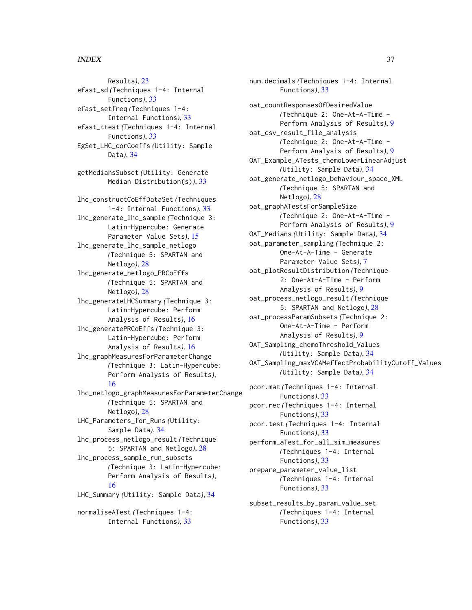### $I<sub>N</sub>$  and  $I<sub>37</sub>$  and  $I<sub>37</sub>$  and  $I<sub>37</sub>$  and  $I<sub>37</sub>$  and  $I<sub>37</sub>$  and  $I<sub>37</sub>$  and  $I<sub>37</sub>$  and  $I<sub>37</sub>$  and  $I<sub>37</sub>$  and  $I<sub>37</sub>$  and  $I<sub>37</sub>$  and  $I<sub>37</sub>$  and  $I<sub>37</sub>$  and

Results*)*, [23](#page-22-0) efast\_sd *(*Techniques 1-4: Internal Functions*)*, [33](#page-32-0) efast\_setfreq *(*Techniques 1-4: Internal Functions*)*, [33](#page-32-0) efast\_ttest *(*Techniques 1-4: Internal Functions*)*, [33](#page-32-0) EgSet\_LHC\_corCoeffs *(*Utility: Sample Data*)*, [34](#page-33-0) getMediansSubset *(*Utility: Generate Median Distribution(s)*)*, [33](#page-32-0) lhc\_constructCoEffDataSet *(*Techniques 1-4: Internal Functions*)*, [33](#page-32-0) lhc\_generate\_lhc\_sample *(*Technique 3: Latin-Hypercube: Generate Parameter Value Sets*)*, [15](#page-14-0) lhc\_generate\_lhc\_sample\_netlogo *(*Technique 5: SPARTAN and Netlogo*)*, [28](#page-27-0) lhc\_generate\_netlogo\_PRCoEffs *(*Technique 5: SPARTAN and Netlogo*)*, [28](#page-27-0) lhc\_generateLHCSummary *(*Technique 3: Latin-Hypercube: Perform Analysis of Results*)*, [16](#page-15-0) lhc\_generatePRCoEffs *(*Technique 3: Latin-Hypercube: Perform Analysis of Results*)*, [16](#page-15-0) lhc\_graphMeasuresForParameterChange *(*Technique 3: Latin-Hypercube: Perform Analysis of Results*)*, [16](#page-15-0) lhc\_netlogo\_graphMeasuresForParameterChange *(*Technique 5: SPARTAN and Netlogo*)*, [28](#page-27-0) LHC\_Parameters\_for\_Runs *(*Utility: Sample Data*)*, [34](#page-33-0) lhc\_process\_netlogo\_result *(*Technique 5: SPARTAN and Netlogo*)*, [28](#page-27-0) lhc\_process\_sample\_run\_subsets *(*Technique 3: Latin-Hypercube: Perform Analysis of Results*)*, [16](#page-15-0) LHC\_Summary *(*Utility: Sample Data*)*, [34](#page-33-0) normaliseATest *(*Techniques 1-4: Internal Functions*)*, [33](#page-32-0)

num.decimals *(*Techniques 1-4: Internal Functions*)*, [33](#page-32-0) oat\_countResponsesOfDesiredValue *(*Technique 2: One-At-A-Time - Perform Analysis of Results*)*, [9](#page-8-0) oat\_csv\_result\_file\_analysis *(*Technique 2: One-At-A-Time - Perform Analysis of Results*)*, [9](#page-8-0) OAT\_Example\_ATests\_chemoLowerLinearAdjust *(*Utility: Sample Data*)*, [34](#page-33-0) oat\_generate\_netlogo\_behaviour\_space\_XML *(*Technique 5: SPARTAN and Netlogo*)*, [28](#page-27-0) oat\_graphATestsForSampleSize *(*Technique 2: One-At-A-Time - Perform Analysis of Results*)*, [9](#page-8-0) OAT\_Medians *(*Utility: Sample Data*)*, [34](#page-33-0) oat\_parameter\_sampling *(*Technique 2: One-At-A-Time - Generate Parameter Value Sets*)*, [7](#page-6-0) oat\_plotResultDistribution *(*Technique 2: One-At-A-Time - Perform Analysis of Results*)*, [9](#page-8-0) oat\_process\_netlogo\_result *(*Technique 5: SPARTAN and Netlogo*)*, [28](#page-27-0) oat\_processParamSubsets *(*Technique 2: One-At-A-Time - Perform Analysis of Results*)*, [9](#page-8-0) OAT\_Sampling\_chemoThreshold\_Values *(*Utility: Sample Data*)*, [34](#page-33-0) OAT\_Sampling\_maxVCAMeffectProbabilityCutoff\_Values *(*Utility: Sample Data*)*, [34](#page-33-0) pcor.mat *(*Techniques 1-4: Internal Functions*)*, [33](#page-32-0) pcor.rec *(*Techniques 1-4: Internal Functions*)*, [33](#page-32-0) pcor.test *(*Techniques 1-4: Internal Functions*)*, [33](#page-32-0) perform\_aTest\_for\_all\_sim\_measures *(*Techniques 1-4: Internal Functions*)*, [33](#page-32-0) prepare\_parameter\_value\_list *(*Techniques 1-4: Internal Functions*)*, [33](#page-32-0) subset\_results\_by\_param\_value\_set

*(*Techniques 1-4: Internal

Functions*)*, [33](#page-32-0)